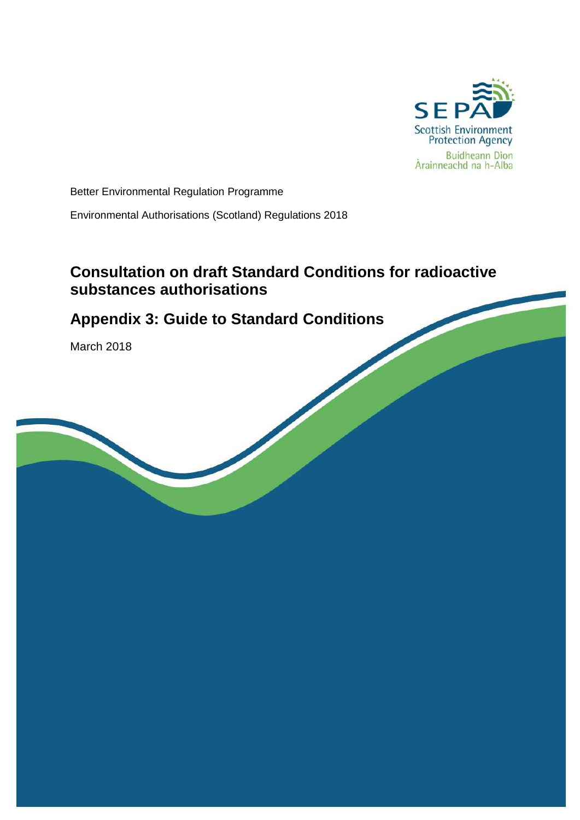

Better Environmental Regulation Programme

Environmental Authorisations (Scotland) Regulations 2018

## **Consultation on draft Standard Conditions for radioactive substances authorisations**

# **Appendix 3: Guide to Standard Conditions**

March 2018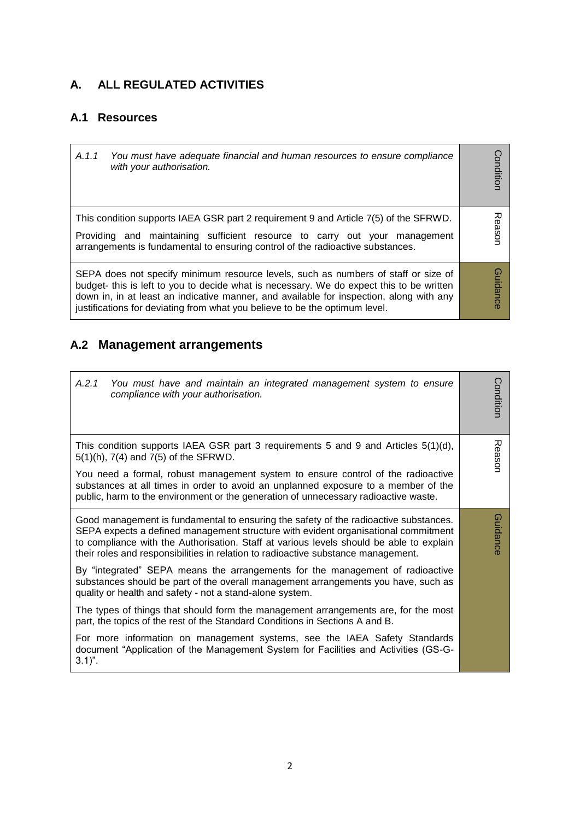### **A. ALL REGULATED ACTIVITIES**

### **A.1 Resources**

r.

| A.1.1 | You must have adequate financial and human resources to ensure compliance<br>with your authorisation.                                                                                                                                                                                                                                                    | <b>Condition</b> |
|-------|----------------------------------------------------------------------------------------------------------------------------------------------------------------------------------------------------------------------------------------------------------------------------------------------------------------------------------------------------------|------------------|
|       | This condition supports IAEA GSR part 2 requirement 9 and Article 7(5) of the SFRWD.<br>Providing and maintaining sufficient resource to carry out your management<br>arrangements is fundamental to ensuring control of the radioactive substances.                                                                                                     | Reason           |
|       | SEPA does not specify minimum resource levels, such as numbers of staff or size of<br>budget- this is left to you to decide what is necessary. We do expect this to be written<br>down in, in at least an indicative manner, and available for inspection, along with any<br>justifications for deviating from what you believe to be the optimum level. | <b>Guidance</b>  |

## **A.2 Management arrangements**

| A.2.1<br>You must have and maintain an integrated management system to ensure<br>compliance with your authorisation.                                                                                                                                                                                                                                       | Conditior |
|------------------------------------------------------------------------------------------------------------------------------------------------------------------------------------------------------------------------------------------------------------------------------------------------------------------------------------------------------------|-----------|
| This condition supports IAEA GSR part 3 requirements 5 and 9 and Articles $5(1)(d)$ ,<br>5(1)(h), 7(4) and 7(5) of the SFRWD.                                                                                                                                                                                                                              | Reason    |
| You need a formal, robust management system to ensure control of the radioactive<br>substances at all times in order to avoid an unplanned exposure to a member of the<br>public, harm to the environment or the generation of unnecessary radioactive waste.                                                                                              |           |
| Good management is fundamental to ensuring the safety of the radioactive substances.<br>SEPA expects a defined management structure with evident organisational commitment<br>to compliance with the Authorisation. Staff at various levels should be able to explain<br>their roles and responsibilities in relation to radioactive substance management. | Guidance  |
| By "integrated" SEPA means the arrangements for the management of radioactive<br>substances should be part of the overall management arrangements you have, such as<br>quality or health and safety - not a stand-alone system.                                                                                                                            |           |
| The types of things that should form the management arrangements are, for the most<br>part, the topics of the rest of the Standard Conditions in Sections A and B.                                                                                                                                                                                         |           |
| For more information on management systems, see the IAEA Safety Standards<br>document "Application of the Management System for Facilities and Activities (GS-G-<br>$3.1$ ".                                                                                                                                                                               |           |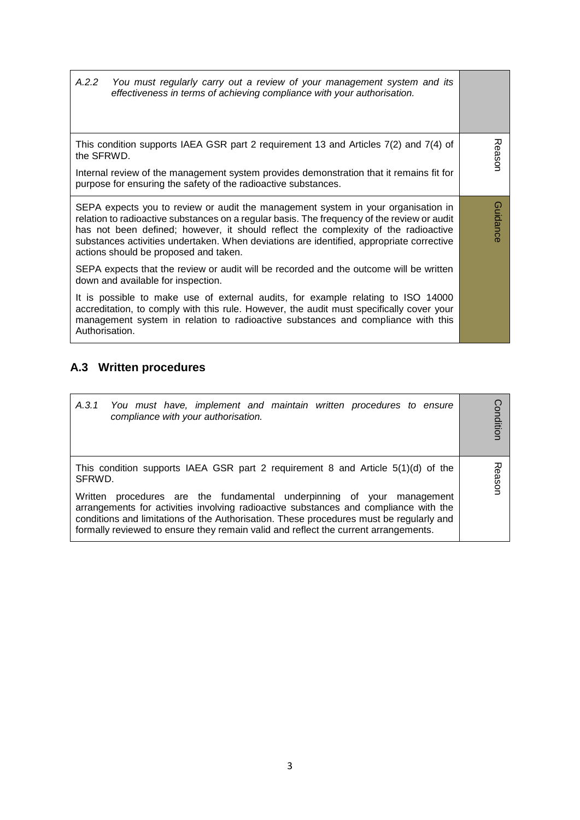*A.2.2 You must regularly carry out a review of your management system and its effectiveness in terms of achieving compliance with your authorisation.* 

This condition supports IAEA GSR part 2 requirement 13 and Articles 7(2) and 7(4) of the SFRWD.

Reason

Guidance

**Guidance** 

Internal review of the management system provides demonstration that it remains fit for purpose for ensuring the safety of the radioactive substances.

SEPA expects you to review or audit the management system in your organisation in relation to radioactive substances on a regular basis. The frequency of the review or audit has not been defined; however, it should reflect the complexity of the radioactive substances activities undertaken. When deviations are identified, appropriate corrective actions should be proposed and taken.

SEPA expects that the review or audit will be recorded and the outcome will be written down and available for inspection.

It is possible to make use of external audits, for example relating to ISO 14000 accreditation, to comply with this rule. However, the audit must specifically cover your management system in relation to radioactive substances and compliance with this Authorisation.

#### **A.3 Written procedures**

| A.3.1 You must have, implement and maintain written procedures to ensure<br>compliance with your authorisation.                                                                                                                                                                                                                                        | ondition     |
|--------------------------------------------------------------------------------------------------------------------------------------------------------------------------------------------------------------------------------------------------------------------------------------------------------------------------------------------------------|--------------|
| This condition supports IAEA GSR part 2 requirement 8 and Article $5(1)(d)$ of the<br>SFRWD.                                                                                                                                                                                                                                                           | <b>Basor</b> |
| procedures are the fundamental underpinning of your<br>Written<br>management<br>arrangements for activities involving radioactive substances and compliance with the<br>conditions and limitations of the Authorisation. These procedures must be regularly and<br>formally reviewed to ensure they remain valid and reflect the current arrangements. |              |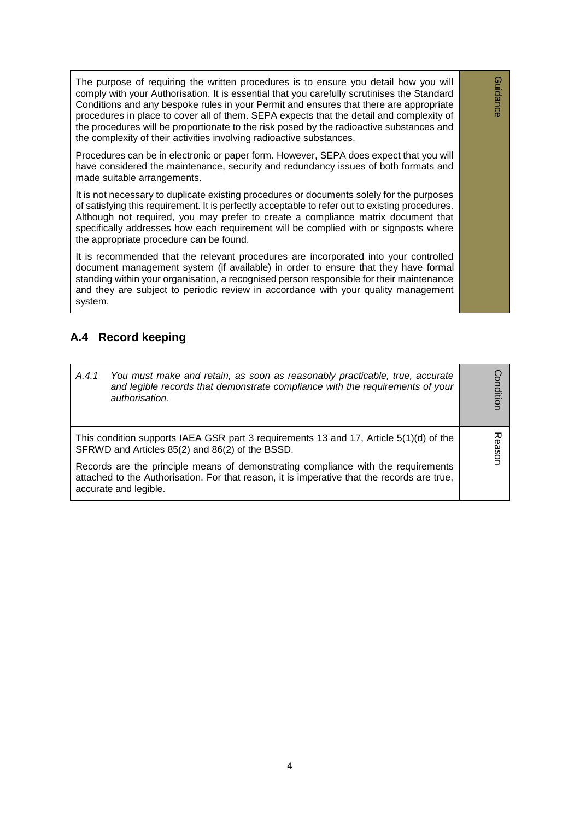The purpose of requiring the written procedures is to ensure you detail how you will comply with your Authorisation. It is essential that you carefully scrutinises the Standard Conditions and any bespoke rules in your Permit and ensures that there are appropriate procedures in place to cover all of them. SEPA expects that the detail and complexity of the procedures will be proportionate to the risk posed by the radioactive substances and the complexity of their activities involving radioactive substances.

Guidance

**Guidance** 

Procedures can be in electronic or paper form. However, SEPA does expect that you will have considered the maintenance, security and redundancy issues of both formats and made suitable arrangements.

It is not necessary to duplicate existing procedures or documents solely for the purposes of satisfying this requirement. It is perfectly acceptable to refer out to existing procedures. Although not required, you may prefer to create a compliance matrix document that specifically addresses how each requirement will be complied with or signposts where the appropriate procedure can be found.

It is recommended that the relevant procedures are incorporated into your controlled document management system (if available) in order to ensure that they have formal standing within your organisation, a recognised person responsible for their maintenance and they are subject to periodic review in accordance with your quality management system.

#### **A.4 Record keeping**

| A.4.1<br>You must make and retain, as soon as reasonably practicable, true, accurate<br>and legible records that demonstrate compliance with the requirements of your<br>authorisation.                   | onditior |
|-----------------------------------------------------------------------------------------------------------------------------------------------------------------------------------------------------------|----------|
| This condition supports IAEA GSR part 3 requirements 13 and 17, Article 5(1)(d) of the<br>SFRWD and Articles 85(2) and 86(2) of the BSSD.                                                                 |          |
| Records are the principle means of demonstrating compliance with the requirements<br>attached to the Authorisation. For that reason, it is imperative that the records are true,<br>accurate and legible. | easor    |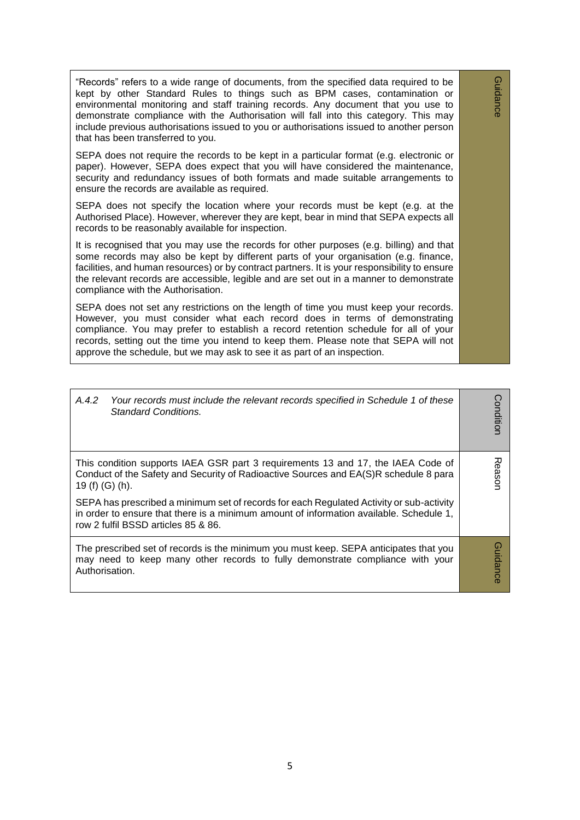"Records" refers to a wide range of documents, from the specified data required to be kept by other Standard Rules to things such as BPM cases, contamination or environmental monitoring and staff training records. Any document that you use to demonstrate compliance with the Authorisation will fall into this category. This may include previous authorisations issued to you or authorisations issued to another person that has been transferred to you.

Guidance

**Guidance** 

SEPA does not require the records to be kept in a particular format (e.g. electronic or paper). However, SEPA does expect that you will have considered the maintenance, security and redundancy issues of both formats and made suitable arrangements to ensure the records are available as required.

SEPA does not specify the location where your records must be kept (e.g. at the Authorised Place). However, wherever they are kept, bear in mind that SEPA expects all records to be reasonably available for inspection.

It is recognised that you may use the records for other purposes (e.g. billing) and that some records may also be kept by different parts of your organisation (e.g. finance, facilities, and human resources) or by contract partners. It is your responsibility to ensure the relevant records are accessible, legible and are set out in a manner to demonstrate compliance with the Authorisation.

SEPA does not set any restrictions on the length of time you must keep your records. However, you must consider what each record does in terms of demonstrating compliance. You may prefer to establish a record retention schedule for all of your records, setting out the time you intend to keep them. Please note that SEPA will not approve the schedule, but we may ask to see it as part of an inspection.

| A.4.2<br>Your records must include the relevant records specified in Schedule 1 of these<br>Standard Conditions.                                                                                                           | Conditior       |
|----------------------------------------------------------------------------------------------------------------------------------------------------------------------------------------------------------------------------|-----------------|
| This condition supports IAEA GSR part 3 requirements 13 and 17, the IAEA Code of<br>Conduct of the Safety and Security of Radioactive Sources and EA(S)R schedule 8 para<br>19 (f) (G) (h).                                | 观<br>Gason      |
| SEPA has prescribed a minimum set of records for each Regulated Activity or sub-activity<br>in order to ensure that there is a minimum amount of information available. Schedule 1,<br>row 2 fulfil BSSD articles 85 & 86. |                 |
| The prescribed set of records is the minimum you must keep. SEPA anticipates that you<br>may need to keep many other records to fully demonstrate compliance with your<br>Authorisation.                                   | <b>Guidance</b> |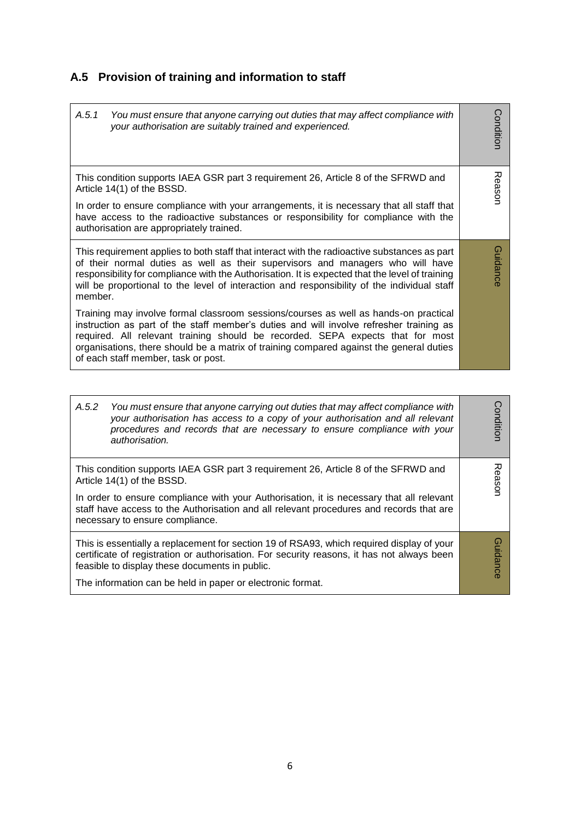# **A.5 Provision of training and information to staff**

| A.5.1<br>You must ensure that anyone carrying out duties that may affect compliance with<br>your authorisation are suitably trained and experienced.                                                                                                                                                                                                                                                | Condition |
|-----------------------------------------------------------------------------------------------------------------------------------------------------------------------------------------------------------------------------------------------------------------------------------------------------------------------------------------------------------------------------------------------------|-----------|
| This condition supports IAEA GSR part 3 requirement 26, Article 8 of the SFRWD and<br>Article 14(1) of the BSSD.<br>In order to ensure compliance with your arrangements, it is necessary that all staff that<br>have access to the radioactive substances or responsibility for compliance with the<br>authorisation are appropriately trained.                                                    | Reason    |
| This requirement applies to both staff that interact with the radioactive substances as part<br>of their normal duties as well as their supervisors and managers who will have<br>responsibility for compliance with the Authorisation. It is expected that the level of training<br>will be proportional to the level of interaction and responsibility of the individual staff<br>member.         | Guidance  |
| Training may involve formal classroom sessions/courses as well as hands-on practical<br>instruction as part of the staff member's duties and will involve refresher training as<br>required. All relevant training should be recorded. SEPA expects that for most<br>organisations, there should be a matrix of training compared against the general duties<br>of each staff member, task or post. |           |

| A.5.2<br>You must ensure that anyone carrying out duties that may affect compliance with<br>your authorisation has access to a copy of your authorisation and all relevant<br>procedures and records that are necessary to ensure compliance with your<br>authorisation. | Conditior      |
|--------------------------------------------------------------------------------------------------------------------------------------------------------------------------------------------------------------------------------------------------------------------------|----------------|
| This condition supports IAEA GSR part 3 requirement 26, Article 8 of the SFRWD and<br>Article 14(1) of the BSSD.<br>In order to ensure compliance with your Authorisation, it is necessary that all relevant                                                             | ᅎ<br>easor     |
| staff have access to the Authorisation and all relevant procedures and records that are<br>necessary to ensure compliance.                                                                                                                                               |                |
| This is essentially a replacement for section 19 of RSA93, which required display of your<br>certificate of registration or authorisation. For security reasons, it has not always been<br>feasible to display these documents in public.                                | G)<br>iuidance |
| The information can be held in paper or electronic format.                                                                                                                                                                                                               |                |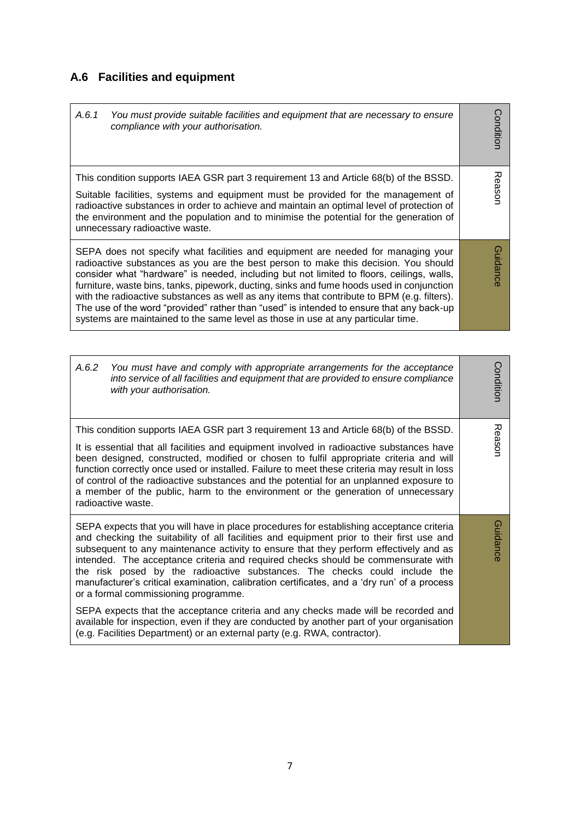# **A.6 Facilities and equipment**

| ondition                                                                                                                        | 观<br>easor                                                                                                                                                                                                                                                                                                                                                                                          | <b>Guidanc</b><br>consider what "hardware" is needed, including but not limited to floors, ceilings, walls,<br>furniture, waste bins, tanks, pipework, ducting, sinks and fume hoods used in conjunction<br>with the radioactive substances as well as any items that contribute to BPM (e.g. filters). |
|---------------------------------------------------------------------------------------------------------------------------------|-----------------------------------------------------------------------------------------------------------------------------------------------------------------------------------------------------------------------------------------------------------------------------------------------------------------------------------------------------------------------------------------------------|---------------------------------------------------------------------------------------------------------------------------------------------------------------------------------------------------------------------------------------------------------------------------------------------------------|
| A.6.1<br>You must provide suitable facilities and equipment that are necessary to ensure<br>compliance with your authorisation. | This condition supports IAEA GSR part 3 requirement 13 and Article 68(b) of the BSSD.<br>Suitable facilities, systems and equipment must be provided for the management of<br>radioactive substances in order to achieve and maintain an optimal level of protection of<br>the environment and the population and to minimise the potential for the generation of<br>unnecessary radioactive waste. | SEPA does not specify what facilities and equipment are needed for managing your<br>radioactive substances as you are the best person to make this decision. You should                                                                                                                                 |

| A.6.2<br>You must have and comply with appropriate arrangements for the acceptance<br>into service of all facilities and equipment that are provided to ensure compliance<br>with your authorisation.                                                                                                                                                                                                                                                                                                                                                                                                                                                                                                                                                                       | Condition |
|-----------------------------------------------------------------------------------------------------------------------------------------------------------------------------------------------------------------------------------------------------------------------------------------------------------------------------------------------------------------------------------------------------------------------------------------------------------------------------------------------------------------------------------------------------------------------------------------------------------------------------------------------------------------------------------------------------------------------------------------------------------------------------|-----------|
| This condition supports IAEA GSR part 3 requirement 13 and Article 68(b) of the BSSD.<br>It is essential that all facilities and equipment involved in radioactive substances have<br>been designed, constructed, modified or chosen to fulfil appropriate criteria and will<br>function correctly once used or installed. Failure to meet these criteria may result in loss<br>of control of the radioactive substances and the potential for an unplanned exposure to<br>a member of the public, harm to the environment or the generation of unnecessary<br>radioactive waste.                                                                                                                                                                                           | Reason    |
| SEPA expects that you will have in place procedures for establishing acceptance criteria<br>and checking the suitability of all facilities and equipment prior to their first use and<br>subsequent to any maintenance activity to ensure that they perform effectively and as<br>intended. The acceptance criteria and required checks should be commensurate with<br>the risk posed by the radioactive substances. The checks could include the<br>manufacturer's critical examination, calibration certificates, and a 'dry run' of a process<br>or a formal commissioning programme.<br>SEPA expects that the acceptance criteria and any checks made will be recorded and<br>available for inspection, even if they are conducted by another part of your organisation | Guidance  |
| (e.g. Facilities Department) or an external party (e.g. RWA, contractor).                                                                                                                                                                                                                                                                                                                                                                                                                                                                                                                                                                                                                                                                                                   |           |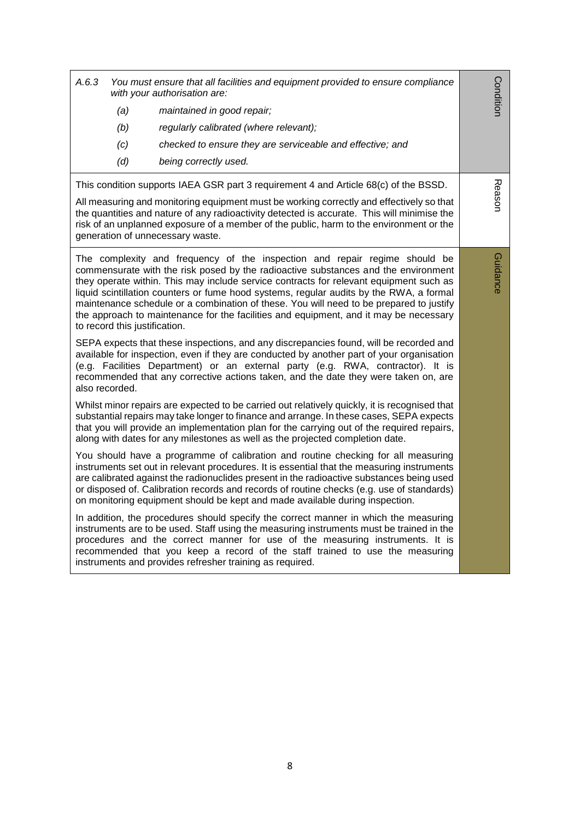| A.6.3<br>You must ensure that all facilities and equipment provided to ensure compliance<br>with your authorisation are:<br>(a)<br>maintained in good repair;<br>(b)<br>regularly calibrated (where relevant);<br>(c)<br>checked to ensure they are serviceable and effective; and<br>(d)<br>being correctly used.                                                                                                                                                                                                                                                         | Condition |
|----------------------------------------------------------------------------------------------------------------------------------------------------------------------------------------------------------------------------------------------------------------------------------------------------------------------------------------------------------------------------------------------------------------------------------------------------------------------------------------------------------------------------------------------------------------------------|-----------|
| This condition supports IAEA GSR part 3 requirement 4 and Article 68(c) of the BSSD.<br>All measuring and monitoring equipment must be working correctly and effectively so that<br>the quantities and nature of any radioactivity detected is accurate. This will minimise the<br>risk of an unplanned exposure of a member of the public, harm to the environment or the<br>generation of unnecessary waste.                                                                                                                                                             | Reason    |
| The complexity and frequency of the inspection and repair regime should be<br>commensurate with the risk posed by the radioactive substances and the environment<br>they operate within. This may include service contracts for relevant equipment such as<br>liquid scintillation counters or fume hood systems, regular audits by the RWA, a formal<br>maintenance schedule or a combination of these. You will need to be prepared to justify<br>the approach to maintenance for the facilities and equipment, and it may be necessary<br>to record this justification. | Guidance  |
| SEPA expects that these inspections, and any discrepancies found, will be recorded and<br>available for inspection, even if they are conducted by another part of your organisation<br>(e.g. Facilities Department) or an external party (e.g. RWA, contractor). It is<br>recommended that any corrective actions taken, and the date they were taken on, are<br>also recorded.                                                                                                                                                                                            |           |
| Whilst minor repairs are expected to be carried out relatively quickly, it is recognised that<br>substantial repairs may take longer to finance and arrange. In these cases, SEPA expects<br>that you will provide an implementation plan for the carrying out of the required repairs,<br>along with dates for any milestones as well as the projected completion date.                                                                                                                                                                                                   |           |
| You should have a programme of calibration and routine checking for all measuring<br>instruments set out in relevant procedures. It is essential that the measuring instruments<br>are calibrated against the radionuclides present in the radioactive substances being used<br>or disposed of. Calibration records and records of routine checks (e.g. use of standards)<br>on monitoring equipment should be kept and made available during inspection.                                                                                                                  |           |
| In addition, the procedures should specify the correct manner in which the measuring<br>instruments are to be used. Staff using the measuring instruments must be trained in the<br>procedures and the correct manner for use of the measuring instruments. It is<br>recommended that you keep a record of the staff trained to use the measuring<br>instruments and provides refresher training as required.                                                                                                                                                              |           |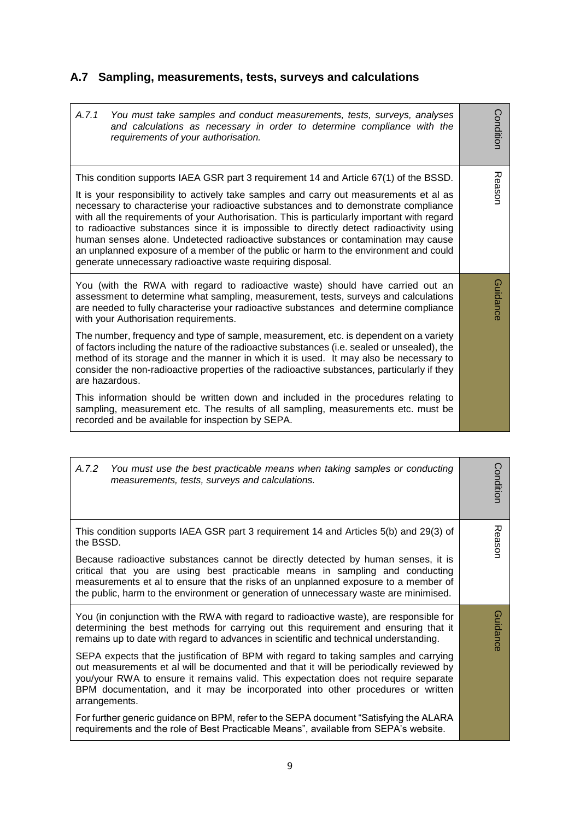# **A.7 Sampling, measurements, tests, surveys and calculations**

| A.7.1<br>You must take samples and conduct measurements, tests, surveys, analyses<br>and calculations as necessary in order to determine compliance with the<br>requirements of your authorisation.                                                                                                                                                                                                                                                                                                                                                                                                                                                                                                        | Condition |
|------------------------------------------------------------------------------------------------------------------------------------------------------------------------------------------------------------------------------------------------------------------------------------------------------------------------------------------------------------------------------------------------------------------------------------------------------------------------------------------------------------------------------------------------------------------------------------------------------------------------------------------------------------------------------------------------------------|-----------|
| This condition supports IAEA GSR part 3 requirement 14 and Article 67(1) of the BSSD.<br>It is your responsibility to actively take samples and carry out measurements et al as<br>necessary to characterise your radioactive substances and to demonstrate compliance<br>with all the requirements of your Authorisation. This is particularly important with regard<br>to radioactive substances since it is impossible to directly detect radioactivity using<br>human senses alone. Undetected radioactive substances or contamination may cause<br>an unplanned exposure of a member of the public or harm to the environment and could<br>generate unnecessary radioactive waste requiring disposal. | Reason    |
| You (with the RWA with regard to radioactive waste) should have carried out an<br>assessment to determine what sampling, measurement, tests, surveys and calculations<br>are needed to fully characterise your radioactive substances and determine compliance<br>with your Authorisation requirements.                                                                                                                                                                                                                                                                                                                                                                                                    | Guidance  |
| The number, frequency and type of sample, measurement, etc. is dependent on a variety<br>of factors including the nature of the radioactive substances (i.e. sealed or unsealed), the<br>method of its storage and the manner in which it is used. It may also be necessary to<br>consider the non-radioactive properties of the radioactive substances, particularly if they<br>are hazardous.                                                                                                                                                                                                                                                                                                            |           |
| This information should be written down and included in the procedures relating to<br>sampling, measurement etc. The results of all sampling, measurements etc. must be<br>recorded and be available for inspection by SEPA.                                                                                                                                                                                                                                                                                                                                                                                                                                                                               |           |

| A.7.2<br>You must use the best practicable means when taking samples or conducting<br>measurements, tests, surveys and calculations.                                                                                                                                                                                                                                      | Conditior |
|---------------------------------------------------------------------------------------------------------------------------------------------------------------------------------------------------------------------------------------------------------------------------------------------------------------------------------------------------------------------------|-----------|
| This condition supports IAEA GSR part 3 requirement 14 and Articles 5(b) and 29(3) of<br>the BSSD.                                                                                                                                                                                                                                                                        | Reasor    |
| Because radioactive substances cannot be directly detected by human senses, it is<br>critical that you are using best practicable means in sampling and conducting<br>measurements et al to ensure that the risks of an unplanned exposure to a member of<br>the public, harm to the environment or generation of unnecessary waste are minimised.                        |           |
| You (in conjunction with the RWA with regard to radioactive waste), are responsible for<br>determining the best methods for carrying out this requirement and ensuring that it<br>remains up to date with regard to advances in scientific and technical understanding.                                                                                                   | Guidance  |
| SEPA expects that the justification of BPM with regard to taking samples and carrying<br>out measurements et al will be documented and that it will be periodically reviewed by<br>you/your RWA to ensure it remains valid. This expectation does not require separate<br>BPM documentation, and it may be incorporated into other procedures or written<br>arrangements. |           |
| For further generic guidance on BPM, refer to the SEPA document "Satisfying the ALARA<br>requirements and the role of Best Practicable Means", available from SEPA's website.                                                                                                                                                                                             |           |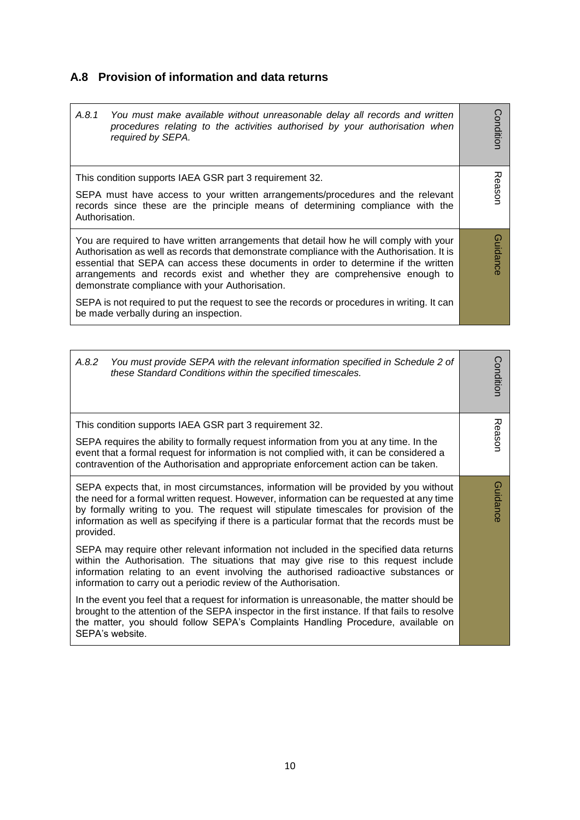### **A.8 Provision of information and data returns**

| A.8.1<br>You must make available without unreasonable delay all records and written<br>procedures relating to the activities authorised by your authorisation when<br>required by SEPA.                                                                                                                                                                                                                                                                                                                                                                | Conditior |
|--------------------------------------------------------------------------------------------------------------------------------------------------------------------------------------------------------------------------------------------------------------------------------------------------------------------------------------------------------------------------------------------------------------------------------------------------------------------------------------------------------------------------------------------------------|-----------|
| This condition supports IAEA GSR part 3 requirement 32.<br>SEPA must have access to your written arrangements/procedures and the relevant<br>records since these are the principle means of determining compliance with the<br>Authorisation.                                                                                                                                                                                                                                                                                                          | Reason    |
| You are required to have written arrangements that detail how he will comply with your<br>Authorisation as well as records that demonstrate compliance with the Authorisation. It is<br>essential that SEPA can access these documents in order to determine if the written<br>arrangements and records exist and whether they are comprehensive enough to<br>demonstrate compliance with your Authorisation.<br>SEPA is not required to put the request to see the records or procedures in writing. It can<br>be made verbally during an inspection. | Guidance  |

| A.8.2<br>You must provide SEPA with the relevant information specified in Schedule 2 of<br>these Standard Conditions within the specified timescales.                                                                                                                                                                                                                                  | Condition |
|----------------------------------------------------------------------------------------------------------------------------------------------------------------------------------------------------------------------------------------------------------------------------------------------------------------------------------------------------------------------------------------|-----------|
| This condition supports IAEA GSR part 3 requirement 32.                                                                                                                                                                                                                                                                                                                                |           |
| SEPA requires the ability to formally request information from you at any time. In the<br>event that a formal request for information is not complied with, it can be considered a<br>contravention of the Authorisation and appropriate enforcement action can be taken.                                                                                                              | Reason    |
| SEPA expects that, in most circumstances, information will be provided by you without<br>the need for a formal written request. However, information can be requested at any time<br>by formally writing to you. The request will stipulate timescales for provision of the<br>information as well as specifying if there is a particular format that the records must be<br>provided. | Guidance  |
| SEPA may require other relevant information not included in the specified data returns<br>within the Authorisation. The situations that may give rise to this request include<br>information relating to an event involving the authorised radioactive substances or<br>information to carry out a periodic review of the Authorisation.                                               |           |
| In the event you feel that a request for information is unreasonable, the matter should be<br>brought to the attention of the SEPA inspector in the first instance. If that fails to resolve<br>the matter, you should follow SEPA's Complaints Handling Procedure, available on<br>SEPA's website.                                                                                    |           |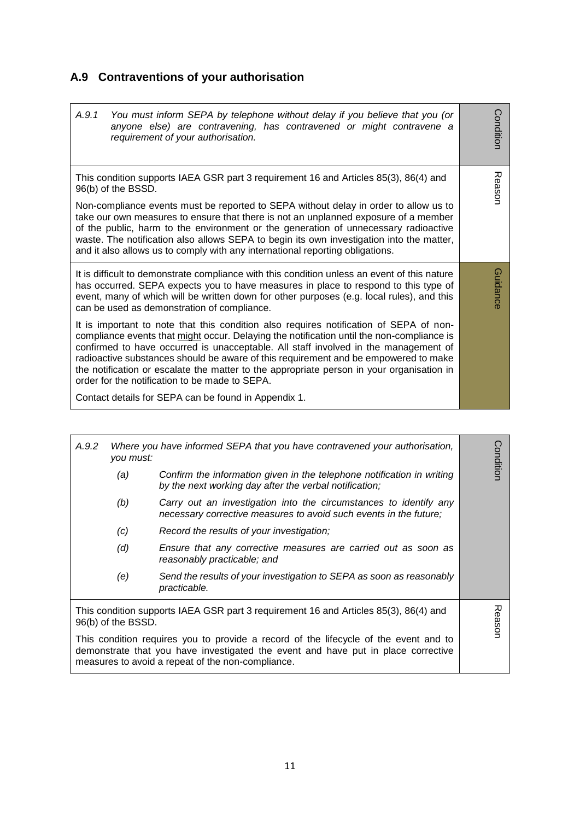# **A.9 Contraventions of your authorisation**

| A.9.1<br>You must inform SEPA by telephone without delay if you believe that you (or<br>anyone else) are contravening, has contravened or might contravene a<br>requirement of your authorisation.                                                                                                                                                                                                                                                                                                               | Condition |
|------------------------------------------------------------------------------------------------------------------------------------------------------------------------------------------------------------------------------------------------------------------------------------------------------------------------------------------------------------------------------------------------------------------------------------------------------------------------------------------------------------------|-----------|
| This condition supports IAEA GSR part 3 requirement 16 and Articles 85(3), 86(4) and<br>96(b) of the BSSD.                                                                                                                                                                                                                                                                                                                                                                                                       | Reason    |
| Non-compliance events must be reported to SEPA without delay in order to allow us to<br>take our own measures to ensure that there is not an unplanned exposure of a member<br>of the public, harm to the environment or the generation of unnecessary radioactive<br>waste. The notification also allows SEPA to begin its own investigation into the matter,<br>and it also allows us to comply with any international reporting obligations.                                                                  |           |
| It is difficult to demonstrate compliance with this condition unless an event of this nature<br>has occurred. SEPA expects you to have measures in place to respond to this type of<br>event, many of which will be written down for other purposes (e.g. local rules), and this<br>can be used as demonstration of compliance.                                                                                                                                                                                  | Guidance  |
| It is important to note that this condition also requires notification of SEPA of non-<br>compliance events that might occur. Delaying the notification until the non-compliance is<br>confirmed to have occurred is unacceptable. All staff involved in the management of<br>radioactive substances should be aware of this requirement and be empowered to make<br>the notification or escalate the matter to the appropriate person in your organisation in<br>order for the notification to be made to SEPA. |           |
| Contact details for SEPA can be found in Appendix 1.                                                                                                                                                                                                                                                                                                                                                                                                                                                             |           |

| A.9.2 | you must:          | Where you have informed SEPA that you have contravened your authorisation,                                                                                                                                                     | Conditior |
|-------|--------------------|--------------------------------------------------------------------------------------------------------------------------------------------------------------------------------------------------------------------------------|-----------|
|       | (a)                | Confirm the information given in the telephone notification in writing<br>by the next working day after the verbal notification;                                                                                               |           |
|       | (b)                | Carry out an investigation into the circumstances to identify any<br>necessary corrective measures to avoid such events in the future;                                                                                         |           |
|       | (c)                | Record the results of your investigation;                                                                                                                                                                                      |           |
|       | (d)                | Ensure that any corrective measures are carried out as soon as<br>reasonably practicable; and                                                                                                                                  |           |
|       | (e)                | Send the results of your investigation to SEPA as soon as reasonably<br>practicable.                                                                                                                                           |           |
|       | 96(b) of the BSSD. | This condition supports IAEA GSR part 3 requirement 16 and Articles 85(3), 86(4) and                                                                                                                                           | Reason    |
|       |                    | This condition requires you to provide a record of the lifecycle of the event and to<br>demonstrate that you have investigated the event and have put in place corrective<br>measures to avoid a repeat of the non-compliance. |           |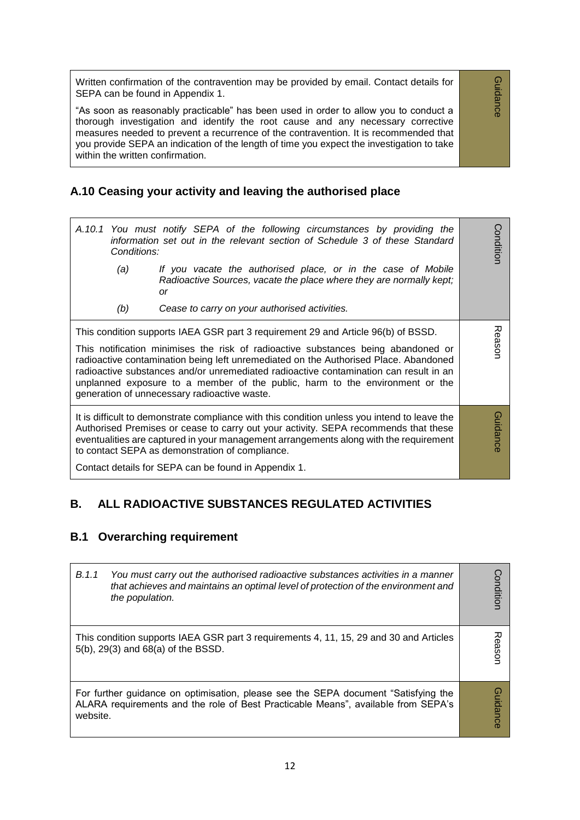Written confirmation of the contravention may be provided by email. Contact details for SEPA can be found in Appendix 1.

"As soon as reasonably practicable" has been used in order to allow you to conduct a thorough investigation and identify the root cause and any necessary corrective measures needed to prevent a recurrence of the contravention. It is recommended that you provide SEPA an indication of the length of time you expect the investigation to take within the written confirmation.

### **A.10 Ceasing your activity and leaving the authorised place**

Conditior *A.10.1 You must notify SEPA of the following circumstances by providing the*  **Condition** *information set out in the relevant section of Schedule 3 of these Standard Conditions: (a) If you vacate the authorised place, or in the case of Mobile Radioactive Sources, vacate the place where they are normally kept; or (b) Cease to carry on your authorised activities.* This condition supports IAEA GSR part 3 requirement 29 and Article 96(b) of BSSD. Reason This notification minimises the risk of radioactive substances being abandoned or radioactive contamination being left unremediated on the Authorised Place. Abandoned radioactive substances and/or unremediated radioactive contamination can result in an unplanned exposure to a member of the public, harm to the environment or the generation of unnecessary radioactive waste. **Guidance** It is difficult to demonstrate compliance with this condition unless you intend to leave the Guidance Authorised Premises or cease to carry out your activity. SEPA recommends that these eventualities are captured in your management arrangements along with the requirement to contact SEPA as demonstration of compliance. Contact details for SEPA can be found in Appendix 1.

### **B. ALL RADIOACTIVE SUBSTANCES REGULATED ACTIVITIES**

#### **B.1 Overarching requirement**

| B.1.1    | You must carry out the authorised radioactive substances activities in a manner<br>that achieves and maintains an optimal level of protection of the environment and<br>the population. | onditior |
|----------|-----------------------------------------------------------------------------------------------------------------------------------------------------------------------------------------|----------|
|          | This condition supports IAEA GSR part 3 requirements 4, 11, 15, 29 and 30 and Articles<br>5(b), 29(3) and 68(a) of the BSSD.                                                            | easor    |
| website. | For further guidance on optimisation, please see the SEPA document "Satisfying the<br>ALARA requirements and the role of Best Practicable Means", available from SEPA's                 | uidance  |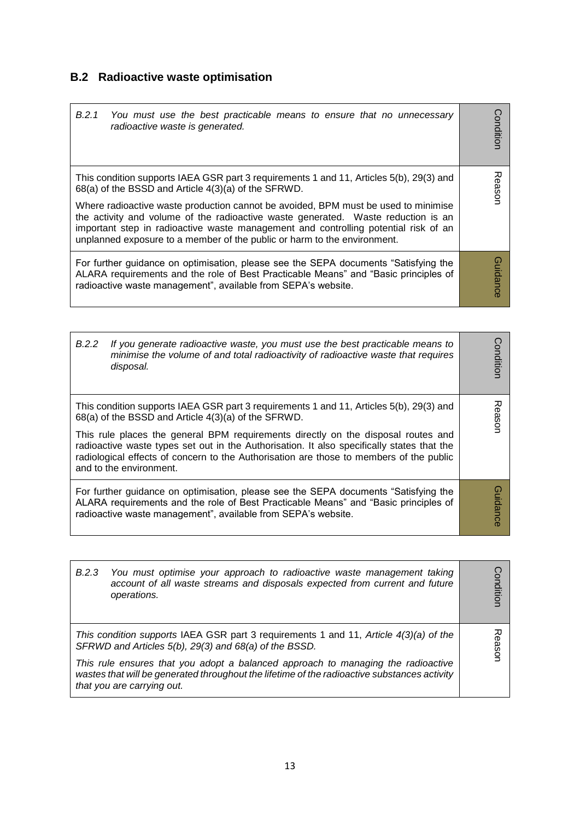# **B.2 Radioactive waste optimisation**

| B.2.1<br>You must use the best practicable means to ensure that no unnecessary<br>radioactive waste is generated.                                                                                                                                                                                                                                                                                                | Conditior    |
|------------------------------------------------------------------------------------------------------------------------------------------------------------------------------------------------------------------------------------------------------------------------------------------------------------------------------------------------------------------------------------------------------------------|--------------|
| This condition supports IAEA GSR part 3 requirements 1 and 11, Articles 5(b), 29(3) and<br>68(a) of the BSSD and Article 4(3)(a) of the SFRWD.<br>Where radioactive waste production cannot be avoided, BPM must be used to minimise<br>the activity and volume of the radioactive waste generated. Waste reduction is an<br>important step in radioactive waste management and controlling potential risk of an | Reason       |
| unplanned exposure to a member of the public or harm to the environment.                                                                                                                                                                                                                                                                                                                                         |              |
| For further guidance on optimisation, please see the SEPA documents "Satisfying the<br>ALARA requirements and the role of Best Practicable Means" and "Basic principles of<br>radioactive waste management", available from SEPA's website.                                                                                                                                                                      | 0<br>uidance |

| B.2.2 | If you generate radioactive waste, you must use the best practicable means to<br>minimise the volume of and total radioactivity of radioactive waste that requires<br>disposal.                                                                                                                                                                                                                                                                         | Conditior |
|-------|---------------------------------------------------------------------------------------------------------------------------------------------------------------------------------------------------------------------------------------------------------------------------------------------------------------------------------------------------------------------------------------------------------------------------------------------------------|-----------|
|       | This condition supports IAEA GSR part 3 requirements 1 and 11, Articles 5(b), 29(3) and<br>68(a) of the BSSD and Article 4(3)(a) of the SFRWD.<br>This rule places the general BPM requirements directly on the disposal routes and<br>radioactive waste types set out in the Authorisation. It also specifically states that the<br>radiological effects of concern to the Authorisation are those to members of the public<br>and to the environment. | Reason    |
|       | For further guidance on optimisation, please see the SEPA documents "Satisfying the<br>ALARA requirements and the role of Best Practicable Means" and "Basic principles of<br>radioactive waste management", available from SEPA's website.                                                                                                                                                                                                             | Guidance  |

|  | B.2.3 You must optimise your approach to radioactive waste management taking<br>account of all waste streams and disposals expected from current and future<br>operations.                                     | onditior   |
|--|----------------------------------------------------------------------------------------------------------------------------------------------------------------------------------------------------------------|------------|
|  | This condition supports IAEA GSR part 3 requirements 1 and 11, Article 4(3)(a) of the<br>SFRWD and Articles 5(b), 29(3) and 68(a) of the BSSD.                                                                 | 고<br>easor |
|  | This rule ensures that you adopt a balanced approach to managing the radioactive<br>wastes that will be generated throughout the lifetime of the radioactive substances activity<br>that you are carrying out. |            |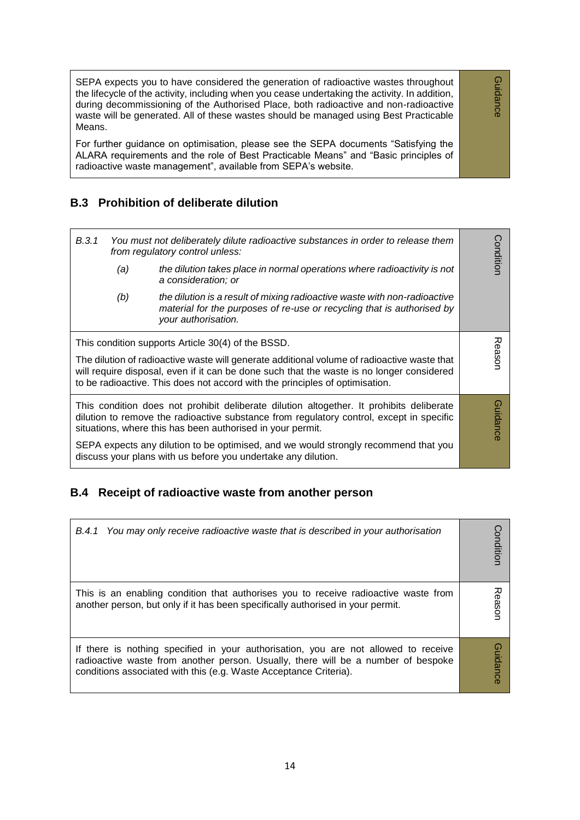SEPA expects you to have considered the generation of radioactive wastes throughout the lifecycle of the activity, including when you cease undertaking the activity. In addition, during decommissioning of the Authorised Place, both radioactive and non-radioactive waste will be generated. All of these wastes should be managed using Best Practicable Means.

Guidance

Guidance

For further guidance on optimisation, please see the SEPA documents "Satisfying the ALARA requirements and the role of Best Practicable Means" and "Basic principles of radioactive waste management", available from SEPA's website.

#### **B.3 Prohibition of deliberate dilution**

| B.3.1 |     | You must not deliberately dilute radioactive substances in order to release them<br>from regulatory control unless:                                                                                                                                                                                                                                                                                        | Conditior       |
|-------|-----|------------------------------------------------------------------------------------------------------------------------------------------------------------------------------------------------------------------------------------------------------------------------------------------------------------------------------------------------------------------------------------------------------------|-----------------|
|       | (a) | the dilution takes place in normal operations where radioactivity is not<br>a consideration; or                                                                                                                                                                                                                                                                                                            |                 |
|       | (b) | the dilution is a result of mixing radioactive waste with non-radioactive<br>material for the purposes of re-use or recycling that is authorised by<br>your authorisation.                                                                                                                                                                                                                                 |                 |
|       |     | This condition supports Article 30(4) of the BSSD.<br>The dilution of radioactive waste will generate additional volume of radioactive waste that<br>will require disposal, even if it can be done such that the waste is no longer considered<br>to be radioactive. This does not accord with the principles of optimisation.                                                                             | Reason          |
|       |     | This condition does not prohibit deliberate dilution altogether. It prohibits deliberate<br>dilution to remove the radioactive substance from regulatory control, except in specific<br>situations, where this has been authorised in your permit.<br>SEPA expects any dilution to be optimised, and we would strongly recommend that you<br>discuss your plans with us before you undertake any dilution. | <b>Guidance</b> |

#### **B.4 Receipt of radioactive waste from another person**

| B.4.1 You may only receive radioactive waste that is described in your authorisation                                                                                                                                                          | onditior       |
|-----------------------------------------------------------------------------------------------------------------------------------------------------------------------------------------------------------------------------------------------|----------------|
| This is an enabling condition that authorises you to receive radioactive waste from<br>another person, but only if it has been specifically authorised in your permit.                                                                        | ason           |
| If there is nothing specified in your authorisation, you are not allowed to receive<br>radioactive waste from another person. Usually, there will be a number of bespoke<br>conditions associated with this (e.g. Waste Acceptance Criteria). | <b>Guidanc</b> |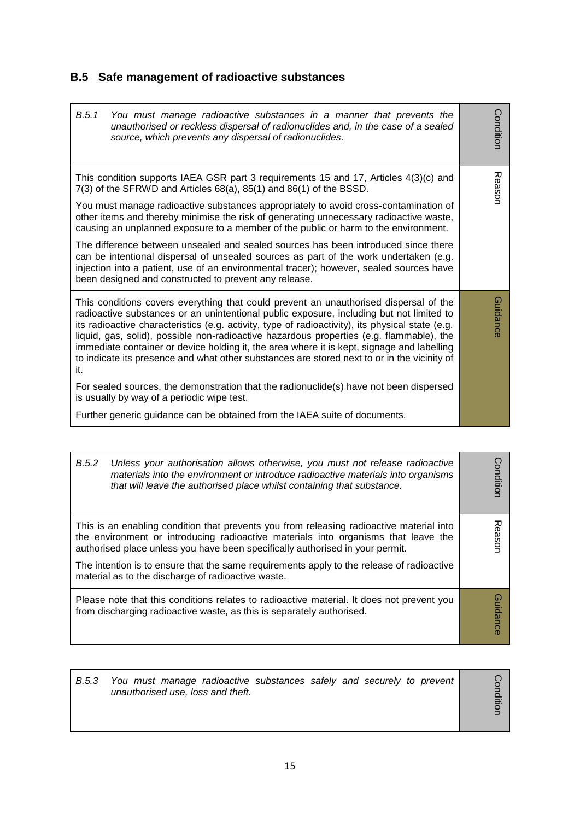# **B.5 Safe management of radioactive substances**

| B.5.1<br>You must manage radioactive substances in a manner that prevents the<br>unauthorised or reckless dispersal of radionuclides and, in the case of a sealed<br>source, which prevents any dispersal of radionuclides.                                                                                                                                                                                                                                                                                                                                                           | Condition |
|---------------------------------------------------------------------------------------------------------------------------------------------------------------------------------------------------------------------------------------------------------------------------------------------------------------------------------------------------------------------------------------------------------------------------------------------------------------------------------------------------------------------------------------------------------------------------------------|-----------|
| This condition supports IAEA GSR part 3 requirements 15 and 17, Articles 4(3)(c) and<br>$7(3)$ of the SFRWD and Articles $68(a)$ , $85(1)$ and $86(1)$ of the BSSD.<br>You must manage radioactive substances appropriately to avoid cross-contamination of<br>other items and thereby minimise the risk of generating unnecessary radioactive waste,<br>causing an unplanned exposure to a member of the public or harm to the environment.                                                                                                                                          | Reason    |
| The difference between unsealed and sealed sources has been introduced since there<br>can be intentional dispersal of unsealed sources as part of the work undertaken (e.g.<br>injection into a patient, use of an environmental tracer); however, sealed sources have<br>been designed and constructed to prevent any release.                                                                                                                                                                                                                                                       |           |
| This conditions covers everything that could prevent an unauthorised dispersal of the<br>radioactive substances or an unintentional public exposure, including but not limited to<br>its radioactive characteristics (e.g. activity, type of radioactivity), its physical state (e.g.<br>liquid, gas, solid), possible non-radioactive hazardous properties (e.g. flammable), the<br>immediate container or device holding it, the area where it is kept, signage and labelling<br>to indicate its presence and what other substances are stored next to or in the vicinity of<br>it. | Guidance  |
| For sealed sources, the demonstration that the radionuclide(s) have not been dispersed<br>is usually by way of a periodic wipe test.                                                                                                                                                                                                                                                                                                                                                                                                                                                  |           |
| Further generic guidance can be obtained from the IAEA suite of documents.                                                                                                                                                                                                                                                                                                                                                                                                                                                                                                            |           |

| B.5.2 | Unless your authorisation allows otherwise, you must not release radioactive<br>materials into the environment or introduce radioactive materials into organisms<br>that will leave the authorised place whilst containing that substance.                                                                                                                                                                         | onditior        |
|-------|--------------------------------------------------------------------------------------------------------------------------------------------------------------------------------------------------------------------------------------------------------------------------------------------------------------------------------------------------------------------------------------------------------------------|-----------------|
|       | This is an enabling condition that prevents you from releasing radioactive material into<br>the environment or introducing radioactive materials into organisms that leave the<br>authorised place unless you have been specifically authorised in your permit.<br>The intention is to ensure that the same requirements apply to the release of radioactive<br>material as to the discharge of radioactive waste. | ᅍ<br>easor      |
|       | Please note that this conditions relates to radioactive material. It does not prevent you<br>from discharging radioactive waste, as this is separately authorised.                                                                                                                                                                                                                                                 | <b>Guidance</b> |

| B.5.3 | You must manage radioactive substances safely and securely to prevent<br>unauthorised use, loss and theft. |  |
|-------|------------------------------------------------------------------------------------------------------------|--|
|       |                                                                                                            |  |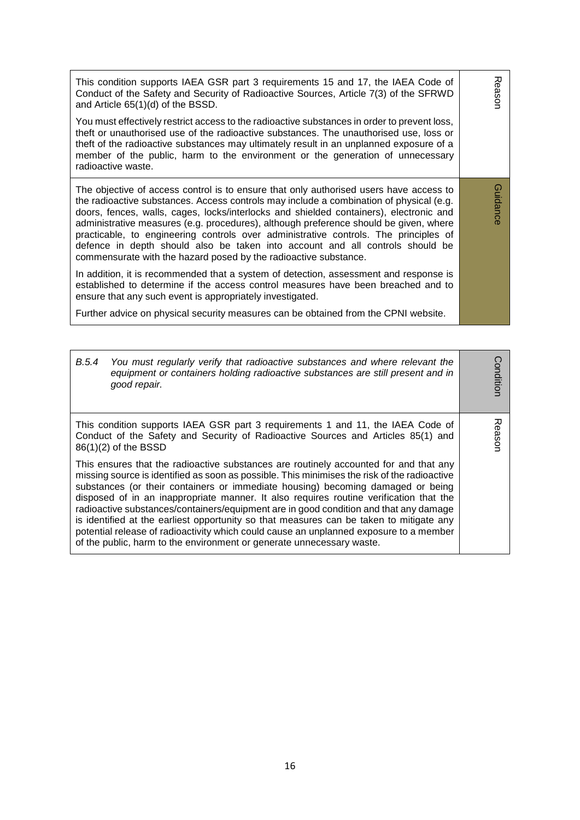| This condition supports IAEA GSR part 3 requirements 15 and 17, the IAEA Code of<br>Conduct of the Safety and Security of Radioactive Sources, Article 7(3) of the SFRWD<br>and Article 65(1)(d) of the BSSD.                                                                                                                                                                                                                                                                                                                                                                                                     | Reason   |
|-------------------------------------------------------------------------------------------------------------------------------------------------------------------------------------------------------------------------------------------------------------------------------------------------------------------------------------------------------------------------------------------------------------------------------------------------------------------------------------------------------------------------------------------------------------------------------------------------------------------|----------|
| You must effectively restrict access to the radioactive substances in order to prevent loss,<br>theft or unauthorised use of the radioactive substances. The unauthorised use, loss or<br>theft of the radioactive substances may ultimately result in an unplanned exposure of a<br>member of the public, harm to the environment or the generation of unnecessary<br>radioactive waste.                                                                                                                                                                                                                         |          |
| The objective of access control is to ensure that only authorised users have access to<br>the radioactive substances. Access controls may include a combination of physical (e.g.<br>doors, fences, walls, cages, locks/interlocks and shielded containers), electronic and<br>administrative measures (e.g. procedures), although preference should be given, where<br>practicable, to engineering controls over administrative controls. The principles of<br>defence in depth should also be taken into account and all controls should be<br>commensurate with the hazard posed by the radioactive substance. | Guidance |
| In addition, it is recommended that a system of detection, assessment and response is<br>established to determine if the access control measures have been breached and to<br>ensure that any such event is appropriately investigated.                                                                                                                                                                                                                                                                                                                                                                           |          |
| Further advice on physical security measures can be obtained from the CPNI website.                                                                                                                                                                                                                                                                                                                                                                                                                                                                                                                               |          |

| B.5.4                                                                                                                                                                                                                                                                                                                                                                                                                                                                                                                                                                                                                                                                                                                     | You must regularly verify that radioactive substances and where relevant the<br>equipment or containers holding radioactive substances are still present and in<br>good repair. | ondition |  |
|---------------------------------------------------------------------------------------------------------------------------------------------------------------------------------------------------------------------------------------------------------------------------------------------------------------------------------------------------------------------------------------------------------------------------------------------------------------------------------------------------------------------------------------------------------------------------------------------------------------------------------------------------------------------------------------------------------------------------|---------------------------------------------------------------------------------------------------------------------------------------------------------------------------------|----------|--|
| This condition supports IAEA GSR part 3 requirements 1 and 11, the IAEA Code of<br>Conduct of the Safety and Security of Radioactive Sources and Articles 85(1) and<br>86(1)(2) of the BSSD                                                                                                                                                                                                                                                                                                                                                                                                                                                                                                                               |                                                                                                                                                                                 |          |  |
| This ensures that the radioactive substances are routinely accounted for and that any<br>missing source is identified as soon as possible. This minimises the risk of the radioactive<br>substances (or their containers or immediate housing) becoming damaged or being<br>disposed of in an inappropriate manner. It also requires routine verification that the<br>radioactive substances/containers/equipment are in good condition and that any damage<br>is identified at the earliest opportunity so that measures can be taken to mitigate any<br>potential release of radioactivity which could cause an unplanned exposure to a member<br>of the public, harm to the environment or generate unnecessary waste. |                                                                                                                                                                                 |          |  |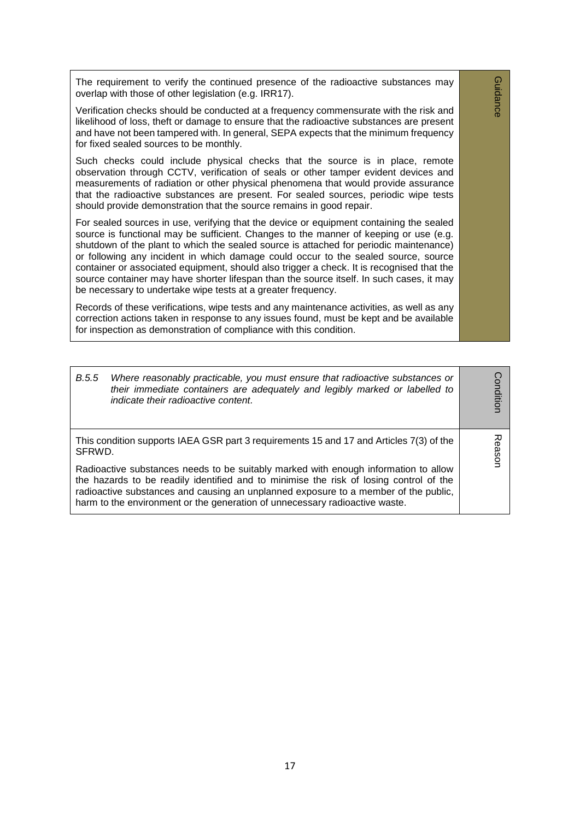The requirement to verify the continued presence of the radioactive substances may overlap with those of other legislation (e.g. IRR17).

Guidance

**Guidance** 

Verification checks should be conducted at a frequency commensurate with the risk and likelihood of loss, theft or damage to ensure that the radioactive substances are present and have not been tampered with. In general, SEPA expects that the minimum frequency for fixed sealed sources to be monthly.

Such checks could include physical checks that the source is in place, remote observation through CCTV, verification of seals or other tamper evident devices and measurements of radiation or other physical phenomena that would provide assurance that the radioactive substances are present. For sealed sources, periodic wipe tests should provide demonstration that the source remains in good repair.

For sealed sources in use, verifying that the device or equipment containing the sealed source is functional may be sufficient. Changes to the manner of keeping or use (e.g. shutdown of the plant to which the sealed source is attached for periodic maintenance) or following any incident in which damage could occur to the sealed source, source container or associated equipment, should also trigger a check. It is recognised that the source container may have shorter lifespan than the source itself. In such cases, it may be necessary to undertake wipe tests at a greater frequency.

Records of these verifications, wipe tests and any maintenance activities, as well as any correction actions taken in response to any issues found, must be kept and be available for inspection as demonstration of compliance with this condition.

| B.5.5                                                                                                                                                                                                                                                                                                                                               | Where reasonably practicable, you must ensure that radioactive substances or<br>their immediate containers are adequately and legibly marked or labelled to<br>indicate their radioactive content. | Conditior |
|-----------------------------------------------------------------------------------------------------------------------------------------------------------------------------------------------------------------------------------------------------------------------------------------------------------------------------------------------------|----------------------------------------------------------------------------------------------------------------------------------------------------------------------------------------------------|-----------|
| This condition supports IAEA GSR part 3 requirements 15 and 17 and Articles 7(3) of the<br>SFRWD.                                                                                                                                                                                                                                                   |                                                                                                                                                                                                    |           |
| Radioactive substances needs to be suitably marked with enough information to allow<br>the hazards to be readily identified and to minimise the risk of losing control of the<br>radioactive substances and causing an unplanned exposure to a member of the public,<br>harm to the environment or the generation of unnecessary radioactive waste. |                                                                                                                                                                                                    | Gason     |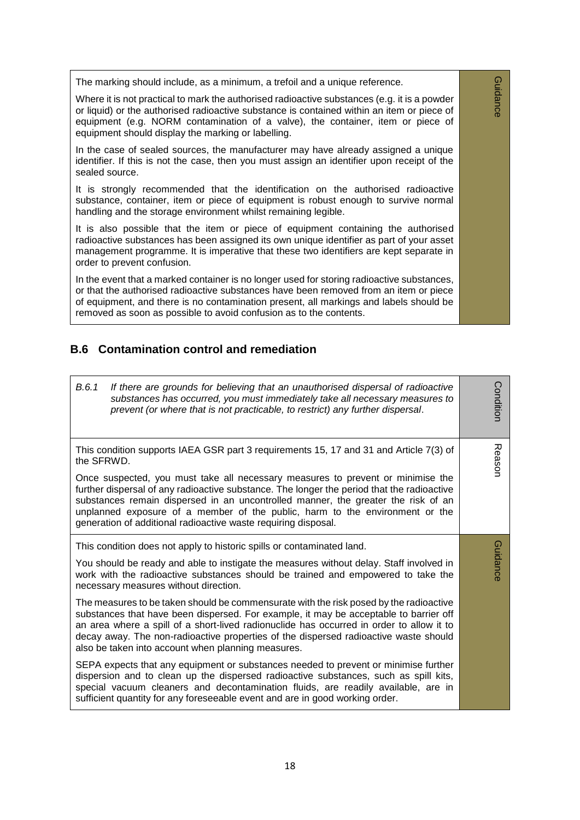The marking should include, as a minimum, a trefoil and a unique reference.

Where it is not practical to mark the authorised radioactive substances (e.g. it is a powder or liquid) or the authorised radioactive substance is contained within an item or piece of equipment (e.g. NORM contamination of a valve), the container, item or piece of equipment should display the marking or labelling.

Guidance

**Guidance** 

In the case of sealed sources, the manufacturer may have already assigned a unique identifier. If this is not the case, then you must assign an identifier upon receipt of the sealed source.

It is strongly recommended that the identification on the authorised radioactive substance, container, item or piece of equipment is robust enough to survive normal handling and the storage environment whilst remaining legible.

It is also possible that the item or piece of equipment containing the authorised radioactive substances has been assigned its own unique identifier as part of your asset management programme. It is imperative that these two identifiers are kept separate in order to prevent confusion.

In the event that a marked container is no longer used for storing radioactive substances, or that the authorised radioactive substances have been removed from an item or piece of equipment, and there is no contamination present, all markings and labels should be removed as soon as possible to avoid confusion as to the contents.

#### **B.6 Contamination control and remediation**

| B.6.1<br>If there are grounds for believing that an unauthorised dispersal of radioactive<br>substances has occurred, you must immediately take all necessary measures to<br>prevent (or where that is not practicable, to restrict) any further dispersal.                                                                                                                                                               | Condition |  |
|---------------------------------------------------------------------------------------------------------------------------------------------------------------------------------------------------------------------------------------------------------------------------------------------------------------------------------------------------------------------------------------------------------------------------|-----------|--|
| This condition supports IAEA GSR part 3 requirements 15, 17 and 31 and Article 7(3) of<br>the SFRWD.                                                                                                                                                                                                                                                                                                                      | Reason    |  |
| Once suspected, you must take all necessary measures to prevent or minimise the<br>further dispersal of any radioactive substance. The longer the period that the radioactive<br>substances remain dispersed in an uncontrolled manner, the greater the risk of an<br>unplanned exposure of a member of the public, harm to the environment or the<br>generation of additional radioactive waste requiring disposal.      |           |  |
| This condition does not apply to historic spills or contaminated land.                                                                                                                                                                                                                                                                                                                                                    |           |  |
| You should be ready and able to instigate the measures without delay. Staff involved in<br>work with the radioactive substances should be trained and empowered to take the<br>necessary measures without direction.                                                                                                                                                                                                      | Guidance  |  |
| The measures to be taken should be commensurate with the risk posed by the radioactive<br>substances that have been dispersed. For example, it may be acceptable to barrier off<br>an area where a spill of a short-lived radionuclide has occurred in order to allow it to<br>decay away. The non-radioactive properties of the dispersed radioactive waste should<br>also be taken into account when planning measures. |           |  |
| SEPA expects that any equipment or substances needed to prevent or minimise further<br>dispersion and to clean up the dispersed radioactive substances, such as spill kits,<br>special vacuum cleaners and decontamination fluids, are readily available, are in<br>sufficient quantity for any foreseeable event and are in good working order.                                                                          |           |  |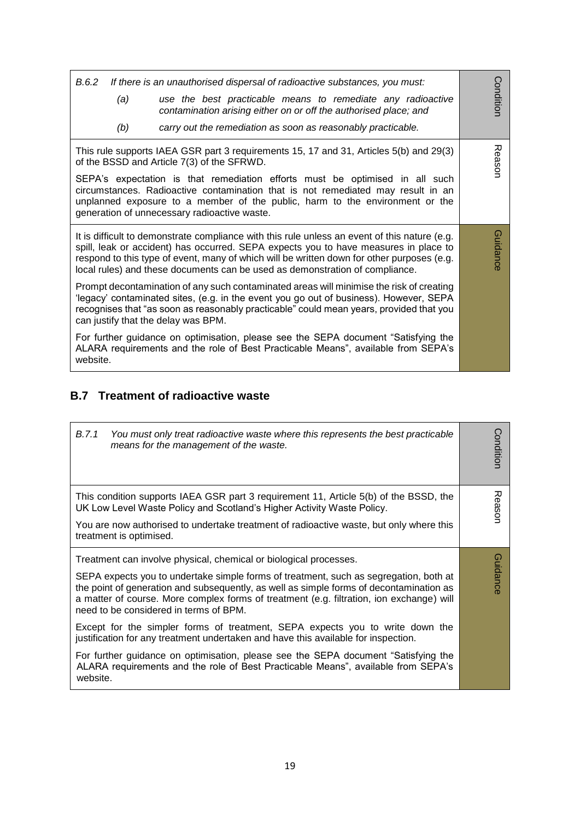| B.6.2<br>If there is an unauthorised dispersal of radioactive substances, you must:<br>(a)<br>use the best practicable means to remediate any radioactive<br>contamination arising either on or off the authorised place; and<br>(b)<br>carry out the remediation as soon as reasonably practicable.                                                                                                                                                                                                                                                                                                                                                                                                                                                                                                                                                                               | Conditior |  |  |
|------------------------------------------------------------------------------------------------------------------------------------------------------------------------------------------------------------------------------------------------------------------------------------------------------------------------------------------------------------------------------------------------------------------------------------------------------------------------------------------------------------------------------------------------------------------------------------------------------------------------------------------------------------------------------------------------------------------------------------------------------------------------------------------------------------------------------------------------------------------------------------|-----------|--|--|
| This rule supports IAEA GSR part 3 requirements 15, 17 and 31, Articles 5(b) and 29(3)<br>of the BSSD and Article 7(3) of the SFRWD.<br>SEPA's expectation is that remediation efforts must be optimised in all such<br>circumstances. Radioactive contamination that is not remediated may result in an<br>unplanned exposure to a member of the public, harm to the environment or the<br>generation of unnecessary radioactive waste.                                                                                                                                                                                                                                                                                                                                                                                                                                           |           |  |  |
| It is difficult to demonstrate compliance with this rule unless an event of this nature (e.g.<br>spill, leak or accident) has occurred. SEPA expects you to have measures in place to<br>respond to this type of event, many of which will be written down for other purposes (e.g.<br>local rules) and these documents can be used as demonstration of compliance.<br>Prompt decontamination of any such contaminated areas will minimise the risk of creating<br>'legacy' contaminated sites, (e.g. in the event you go out of business). However, SEPA<br>recognises that "as soon as reasonably practicable" could mean years, provided that you<br>can justify that the delay was BPM.<br>For further guidance on optimisation, please see the SEPA document "Satisfying the<br>ALARA requirements and the role of Best Practicable Means", available from SEPA's<br>website. | Guidance  |  |  |

### **B.7 Treatment of radioactive waste**

| B.7.1<br>You must only treat radioactive waste where this represents the best practicable<br>means for the management of the waste.                                                                                                                                                                                                                                                                                                                                                                                                                                                                                                                                                                                                                       | Condition |
|-----------------------------------------------------------------------------------------------------------------------------------------------------------------------------------------------------------------------------------------------------------------------------------------------------------------------------------------------------------------------------------------------------------------------------------------------------------------------------------------------------------------------------------------------------------------------------------------------------------------------------------------------------------------------------------------------------------------------------------------------------------|-----------|
| This condition supports IAEA GSR part 3 requirement 11, Article 5(b) of the BSSD, the<br>UK Low Level Waste Policy and Scotland's Higher Activity Waste Policy.<br>You are now authorised to undertake treatment of radioactive waste, but only where this<br>treatment is optimised.                                                                                                                                                                                                                                                                                                                                                                                                                                                                     | Reason    |
| Treatment can involve physical, chemical or biological processes.<br>SEPA expects you to undertake simple forms of treatment, such as segregation, both at<br>the point of generation and subsequently, as well as simple forms of decontamination as<br>a matter of course. More complex forms of treatment (e.g. filtration, ion exchange) will<br>need to be considered in terms of BPM.<br>Except for the simpler forms of treatment, SEPA expects you to write down the<br>justification for any treatment undertaken and have this available for inspection.<br>For further guidance on optimisation, please see the SEPA document "Satisfying the<br>ALARA requirements and the role of Best Practicable Means", available from SEPA's<br>website. | Guidance  |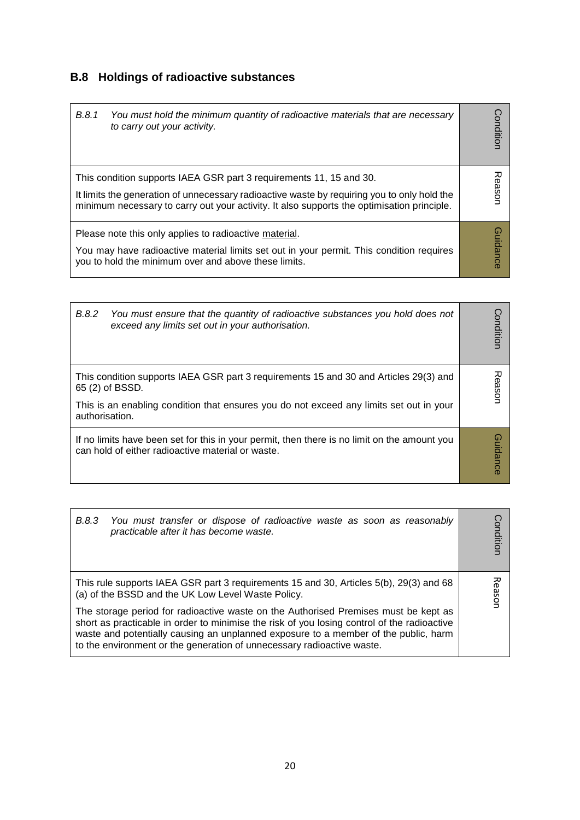## **B.8 Holdings of radioactive substances**

| B.8.1<br>You must hold the minimum quantity of radioactive materials that are necessary<br>to carry out your activity.                                                                                                                                           | Condition |
|------------------------------------------------------------------------------------------------------------------------------------------------------------------------------------------------------------------------------------------------------------------|-----------|
| This condition supports IAEA GSR part 3 requirements 11, 15 and 30.<br>It limits the generation of unnecessary radioactive waste by requiring you to only hold the<br>minimum necessary to carry out your activity. It also supports the optimisation principle. | Reason    |
| Please note this only applies to radioactive material.<br>You may have radioactive material limits set out in your permit. This condition requires<br>you to hold the minimum over and above these limits.                                                       | Guidance  |

| B.8.2<br>You must ensure that the quantity of radioactive substances you hold does not<br>exceed any limits set out in your authorisation.                                                                            | ondition.  |
|-----------------------------------------------------------------------------------------------------------------------------------------------------------------------------------------------------------------------|------------|
| This condition supports IAEA GSR part 3 requirements 15 and 30 and Articles 29(3) and<br>65 (2) of BSSD.<br>This is an enabling condition that ensures you do not exceed any limits set out in your<br>authorisation. | ᅎ<br>easor |
| If no limits have been set for this in your permit, then there is no limit on the amount you<br>can hold of either radioactive material or waste.                                                                     | uidance    |

| B.8.3 You must transfer or dispose of radioactive waste as soon as reasonably<br>practicable after it has become waste.                                                                                                                                                                                                                             | Condition |  |
|-----------------------------------------------------------------------------------------------------------------------------------------------------------------------------------------------------------------------------------------------------------------------------------------------------------------------------------------------------|-----------|--|
| This rule supports IAEA GSR part 3 requirements 15 and 30, Articles 5(b), 29(3) and 68<br>(a) of the BSSD and the UK Low Level Waste Policy.                                                                                                                                                                                                        |           |  |
| The storage period for radioactive waste on the Authorised Premises must be kept as<br>short as practicable in order to minimise the risk of you losing control of the radioactive<br>waste and potentially causing an unplanned exposure to a member of the public, harm<br>to the environment or the generation of unnecessary radioactive waste. |           |  |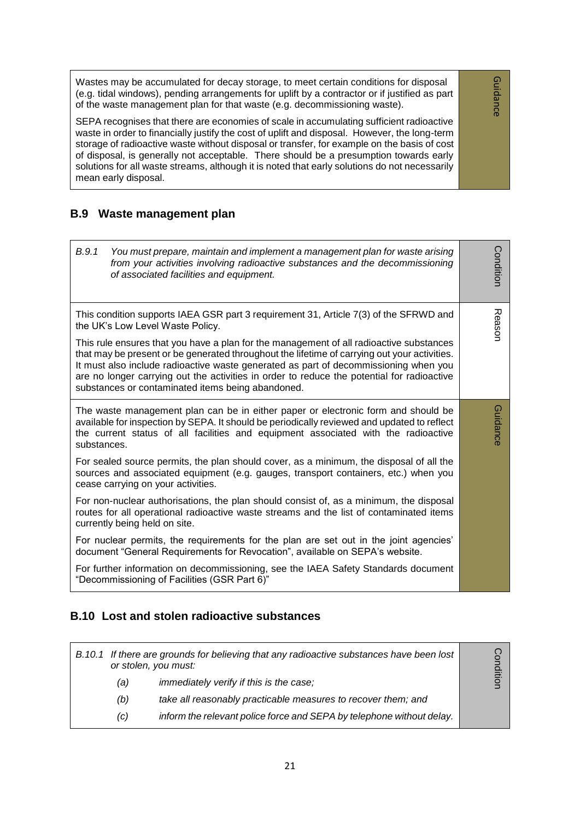Wastes may be accumulated for decay storage, to meet certain conditions for disposal (e.g. tidal windows), pending arrangements for uplift by a contractor or if justified as part of the waste management plan for that waste (e.g. decommissioning waste).

SEPA recognises that there are economies of scale in accumulating sufficient radioactive waste in order to financially justify the cost of uplift and disposal. However, the long-term storage of radioactive waste without disposal or transfer, for example on the basis of cost of disposal, is generally not acceptable. There should be a presumption towards early solutions for all waste streams, although it is noted that early solutions do not necessarily mean early disposal.

#### **B.9 Waste management plan**

| B.9.1<br>You must prepare, maintain and implement a management plan for waste arising<br>from your activities involving radioactive substances and the decommissioning<br>of associated facilities and equipment.                                                                                                                                                                                                                  | Condition |  |  |
|------------------------------------------------------------------------------------------------------------------------------------------------------------------------------------------------------------------------------------------------------------------------------------------------------------------------------------------------------------------------------------------------------------------------------------|-----------|--|--|
| This condition supports IAEA GSR part 3 requirement 31, Article 7(3) of the SFRWD and<br>the UK's Low Level Waste Policy.                                                                                                                                                                                                                                                                                                          |           |  |  |
| This rule ensures that you have a plan for the management of all radioactive substances<br>that may be present or be generated throughout the lifetime of carrying out your activities.<br>It must also include radioactive waste generated as part of decommissioning when you<br>are no longer carrying out the activities in order to reduce the potential for radioactive<br>substances or contaminated items being abandoned. |           |  |  |
| The waste management plan can be in either paper or electronic form and should be<br>available for inspection by SEPA. It should be periodically reviewed and updated to reflect<br>the current status of all facilities and equipment associated with the radioactive<br>substances.                                                                                                                                              |           |  |  |
| For sealed source permits, the plan should cover, as a minimum, the disposal of all the<br>sources and associated equipment (e.g. gauges, transport containers, etc.) when you<br>cease carrying on your activities.                                                                                                                                                                                                               |           |  |  |
| For non-nuclear authorisations, the plan should consist of, as a minimum, the disposal<br>routes for all operational radioactive waste streams and the list of contaminated items<br>currently being held on site.                                                                                                                                                                                                                 |           |  |  |
| For nuclear permits, the requirements for the plan are set out in the joint agencies'<br>document "General Requirements for Revocation", available on SEPA's website.                                                                                                                                                                                                                                                              |           |  |  |
| For further information on decommissioning, see the IAEA Safety Standards document<br>"Decommissioning of Facilities (GSR Part 6)"                                                                                                                                                                                                                                                                                                 |           |  |  |

#### **B.10 Lost and stolen radioactive substances**

|     | B.10.1 If there are grounds for believing that any radioactive substances have been lost<br>or stolen, you must: | ပ္ခ် |
|-----|------------------------------------------------------------------------------------------------------------------|------|
| (a) | immediately verify if this is the case;                                                                          |      |
| (b) | take all reasonably practicable measures to recover them; and                                                    |      |
| (C) | inform the relevant police force and SEPA by telephone without delay.                                            |      |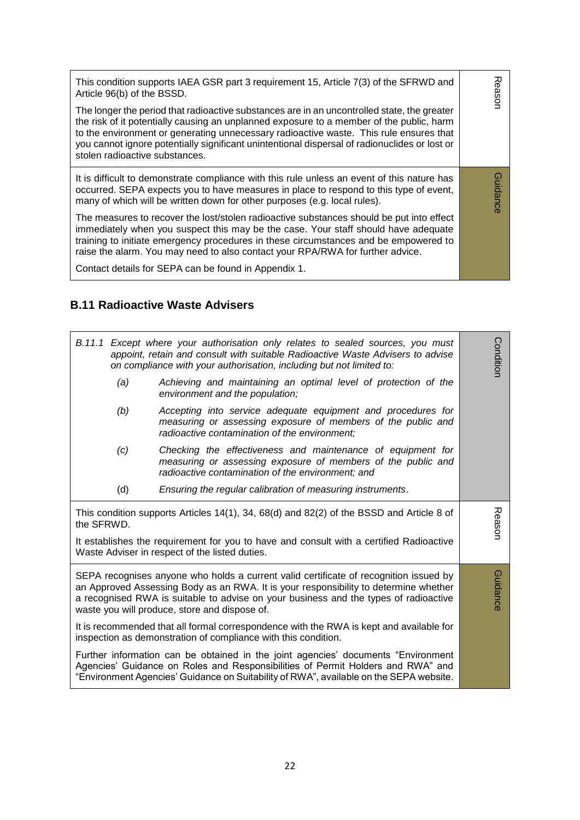| This condition supports IAEA GSR part 3 requirement 15, Article 7(3) of the SFRWD and<br>Article 96(b) of the BSSD.<br>The longer the period that radioactive substances are in an uncontrolled state, the greater<br>the risk of it potentially causing an unplanned exposure to a member of the public, harm<br>to the environment or generating unnecessary radioactive waste. This rule ensures that<br>you cannot ignore potentially significant unintentional dispersal of radionuclides or lost or<br>stolen radioactive substances. | 观<br>eason     |
|---------------------------------------------------------------------------------------------------------------------------------------------------------------------------------------------------------------------------------------------------------------------------------------------------------------------------------------------------------------------------------------------------------------------------------------------------------------------------------------------------------------------------------------------|----------------|
| It is difficult to demonstrate compliance with this rule unless an event of this nature has<br>occurred. SEPA expects you to have measures in place to respond to this type of event,<br>many of which will be written down for other purposes (e.g. local rules).                                                                                                                                                                                                                                                                          | <b>Guidanc</b> |
| The measures to recover the lost/stolen radioactive substances should be put into effect<br>immediately when you suspect this may be the case. Your staff should have adequate<br>training to initiate emergency procedures in these circumstances and be empowered to<br>raise the alarm. You may need to also contact your RPA/RWA for further advice.                                                                                                                                                                                    |                |
| Contact details for SEPA can be found in Appendix 1.                                                                                                                                                                                                                                                                                                                                                                                                                                                                                        |                |

#### **B.11 Radioactive Waste Advisers**

| B.11.1 Except where your authorisation only relates to sealed sources, you must<br>appoint, retain and consult with suitable Radioactive Waste Advisers to advise<br>on compliance with your authorisation, including but not limited to:                      |                                                                                                                                                                                                                                                                                                                        | Condition |
|----------------------------------------------------------------------------------------------------------------------------------------------------------------------------------------------------------------------------------------------------------------|------------------------------------------------------------------------------------------------------------------------------------------------------------------------------------------------------------------------------------------------------------------------------------------------------------------------|-----------|
| (a)                                                                                                                                                                                                                                                            | Achieving and maintaining an optimal level of protection of the<br>environment and the population;                                                                                                                                                                                                                     |           |
| (b)                                                                                                                                                                                                                                                            | Accepting into service adequate equipment and procedures for<br>measuring or assessing exposure of members of the public and<br>radioactive contamination of the environment;                                                                                                                                          |           |
| (c)                                                                                                                                                                                                                                                            | Checking the effectiveness and maintenance of equipment for<br>measuring or assessing exposure of members of the public and<br>radioactive contamination of the environment; and                                                                                                                                       |           |
| (d)                                                                                                                                                                                                                                                            | Ensuring the regular calibration of measuring instruments.                                                                                                                                                                                                                                                             |           |
| This condition supports Articles 14(1), 34, 68(d) and 82(2) of the BSSD and Article 8 of<br>the SFRWD.                                                                                                                                                         |                                                                                                                                                                                                                                                                                                                        |           |
| It establishes the requirement for you to have and consult with a certified Radioactive<br>Waste Adviser in respect of the listed duties.                                                                                                                      |                                                                                                                                                                                                                                                                                                                        |           |
|                                                                                                                                                                                                                                                                | SEPA recognises anyone who holds a current valid certificate of recognition issued by<br>an Approved Assessing Body as an RWA. It is your responsibility to determine whether<br>a recognised RWA is suitable to advise on your business and the types of radioactive<br>waste you will produce, store and dispose of. | Guidance  |
| It is recommended that all formal correspondence with the RWA is kept and available for<br>inspection as demonstration of compliance with this condition.                                                                                                      |                                                                                                                                                                                                                                                                                                                        |           |
| Further information can be obtained in the joint agencies' documents "Environment<br>Agencies' Guidance on Roles and Responsibilities of Permit Holders and RWA" and<br>"Environment Agencies' Guidance on Suitability of RWA", available on the SEPA website. |                                                                                                                                                                                                                                                                                                                        |           |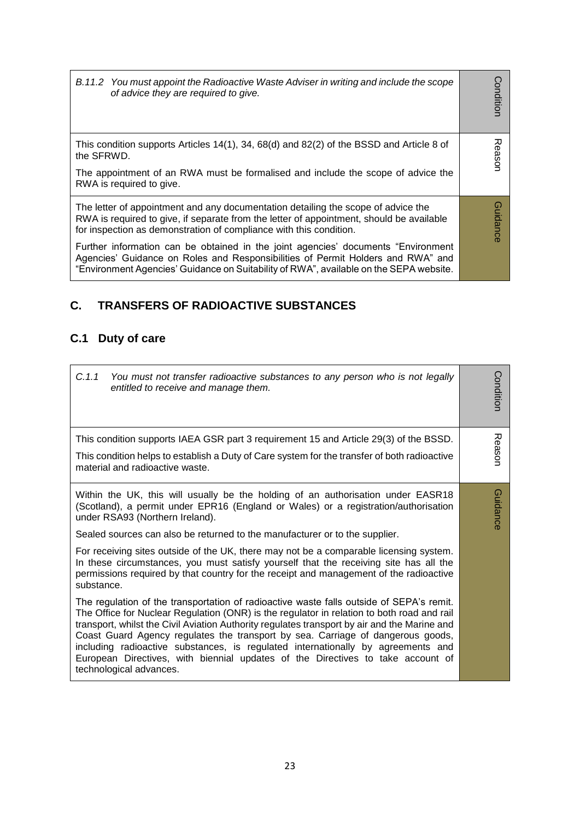Condition *B.11.2 You must appoint the Radioactive Waste Adviser in writing and include the scope*  **Condition** *of advice they are required to give.*

Reason

Guidance

Guidance

This condition supports Articles 14(1), 34, 68(d) and 82(2) of the BSSD and Article 8 of the SFRWD.

The appointment of an RWA must be formalised and include the scope of advice the RWA is required to give.

The letter of appointment and any documentation detailing the scope of advice the RWA is required to give, if separate from the letter of appointment, should be available for inspection as demonstration of compliance with this condition.

Further information can be obtained in the joint agencies' documents "Environment Agencies' Guidance on Roles and Responsibilities of Permit Holders and RWA" and "Environment Agencies' Guidance on Suitability of RWA", available on the SEPA website.

#### **C. TRANSFERS OF RADIOACTIVE SUBSTANCES**

#### **C.1 Duty of care**

| C.1.1<br>You must not transfer radioactive substances to any person who is not legally<br>entitled to receive and manage them.                                                                                                                                                                                                                                                                                                                                                                                                                                              | Conditior |
|-----------------------------------------------------------------------------------------------------------------------------------------------------------------------------------------------------------------------------------------------------------------------------------------------------------------------------------------------------------------------------------------------------------------------------------------------------------------------------------------------------------------------------------------------------------------------------|-----------|
| This condition supports IAEA GSR part 3 requirement 15 and Article 29(3) of the BSSD.<br>This condition helps to establish a Duty of Care system for the transfer of both radioactive                                                                                                                                                                                                                                                                                                                                                                                       | Reason    |
| material and radioactive waste.                                                                                                                                                                                                                                                                                                                                                                                                                                                                                                                                             |           |
| Within the UK, this will usually be the holding of an authorisation under EASR18<br>(Scotland), a permit under EPR16 (England or Wales) or a registration/authorisation<br>under RSA93 (Northern Ireland).                                                                                                                                                                                                                                                                                                                                                                  | Guidance  |
| Sealed sources can also be returned to the manufacturer or to the supplier.                                                                                                                                                                                                                                                                                                                                                                                                                                                                                                 |           |
| For receiving sites outside of the UK, there may not be a comparable licensing system.<br>In these circumstances, you must satisfy yourself that the receiving site has all the<br>permissions required by that country for the receipt and management of the radioactive<br>substance.                                                                                                                                                                                                                                                                                     |           |
| The regulation of the transportation of radioactive waste falls outside of SEPA's remit.<br>The Office for Nuclear Regulation (ONR) is the regulator in relation to both road and rail<br>transport, whilst the Civil Aviation Authority regulates transport by air and the Marine and<br>Coast Guard Agency regulates the transport by sea. Carriage of dangerous goods,<br>including radioactive substances, is regulated internationally by agreements and<br>European Directives, with biennial updates of the Directives to take account of<br>technological advances. |           |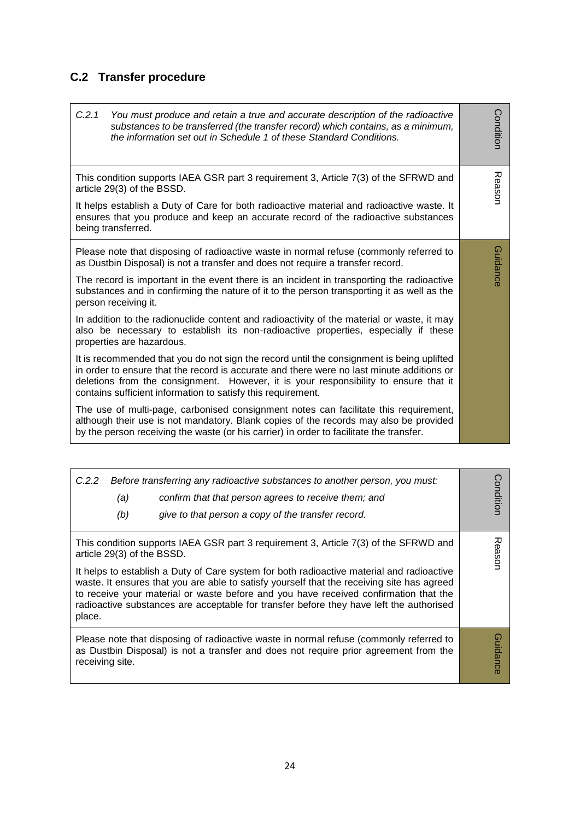## **C.2 Transfer procedure**

| C.2.1<br>You must produce and retain a true and accurate description of the radioactive<br>substances to be transferred (the transfer record) which contains, as a minimum,<br>the information set out in Schedule 1 of these Standard Conditions.                                                                                                                                                                                                                                                                                                                                                                                                                                                                                                                                                                                                                                                                                                                                                                                                                                                                                                                                                                                         | Condition |  |  |
|--------------------------------------------------------------------------------------------------------------------------------------------------------------------------------------------------------------------------------------------------------------------------------------------------------------------------------------------------------------------------------------------------------------------------------------------------------------------------------------------------------------------------------------------------------------------------------------------------------------------------------------------------------------------------------------------------------------------------------------------------------------------------------------------------------------------------------------------------------------------------------------------------------------------------------------------------------------------------------------------------------------------------------------------------------------------------------------------------------------------------------------------------------------------------------------------------------------------------------------------|-----------|--|--|
| This condition supports IAEA GSR part 3 requirement 3, Article 7(3) of the SFRWD and<br>article 29(3) of the BSSD.<br>It helps establish a Duty of Care for both radioactive material and radioactive waste. It<br>ensures that you produce and keep an accurate record of the radioactive substances<br>being transferred.                                                                                                                                                                                                                                                                                                                                                                                                                                                                                                                                                                                                                                                                                                                                                                                                                                                                                                                | Reason    |  |  |
| Please note that disposing of radioactive waste in normal refuse (commonly referred to<br>as Dustbin Disposal) is not a transfer and does not require a transfer record.<br>The record is important in the event there is an incident in transporting the radioactive<br>substances and in confirming the nature of it to the person transporting it as well as the<br>person receiving it.<br>In addition to the radionuclide content and radioactivity of the material or waste, it may<br>also be necessary to establish its non-radioactive properties, especially if these<br>properties are hazardous.<br>It is recommended that you do not sign the record until the consignment is being uplifted<br>in order to ensure that the record is accurate and there were no last minute additions or<br>deletions from the consignment. However, it is your responsibility to ensure that it<br>contains sufficient information to satisfy this requirement.<br>The use of multi-page, carbonised consignment notes can facilitate this requirement,<br>although their use is not mandatory. Blank copies of the records may also be provided<br>by the person receiving the waste (or his carrier) in order to facilitate the transfer. |           |  |  |

| C.2.2<br>(a)<br>(b)                  | Before transferring any radioactive substances to another person, you must:<br>confirm that that person agrees to receive them; and<br>give to that person a copy of the transfer record.                                                                                                                                                                                                                                                                          | Conditior |
|--------------------------------------|--------------------------------------------------------------------------------------------------------------------------------------------------------------------------------------------------------------------------------------------------------------------------------------------------------------------------------------------------------------------------------------------------------------------------------------------------------------------|-----------|
| article 29(3) of the BSSD.<br>place. | This condition supports IAEA GSR part 3 requirement 3, Article 7(3) of the SFRWD and<br>It helps to establish a Duty of Care system for both radioactive material and radioactive<br>waste. It ensures that you are able to satisfy yourself that the receiving site has agreed<br>to receive your material or waste before and you have received confirmation that the<br>radioactive substances are acceptable for transfer before they have left the authorised | Reason    |
| receiving site.                      | Please note that disposing of radioactive waste in normal refuse (commonly referred to<br>as Dustbin Disposal) is not a transfer and does not require prior agreement from the                                                                                                                                                                                                                                                                                     | Guidance  |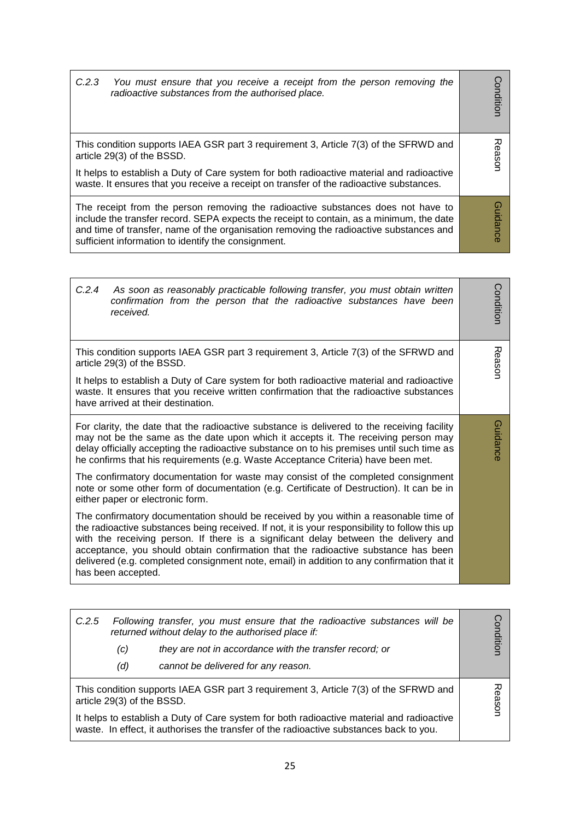| C.2.3<br>You must ensure that you receive a receipt from the person removing the<br>radioactive substances from the authorised place.                                                                                                                                                                                         | onditior           |
|-------------------------------------------------------------------------------------------------------------------------------------------------------------------------------------------------------------------------------------------------------------------------------------------------------------------------------|--------------------|
| This condition supports IAEA GSR part 3 requirement 3, Article 7(3) of the SFRWD and<br>article 29(3) of the BSSD.<br>It helps to establish a Duty of Care system for both radioactive material and radioactive<br>waste. It ensures that you receive a receipt on transfer of the radioactive substances.                    | ᅎ<br><b>Fasson</b> |
| The receipt from the person removing the radioactive substances does not have to<br>include the transfer record. SEPA expects the receipt to contain, as a minimum, the date<br>and time of transfer, name of the organisation removing the radioactive substances and<br>sufficient information to identify the consignment. | <b>Guidanc</b>     |

| C.2.4<br>As soon as reasonably practicable following transfer, you must obtain written<br>confirmation from the person that the radioactive substances have been<br>received.                                                                                                                                                                                                                                                                                                           | Conditior |
|-----------------------------------------------------------------------------------------------------------------------------------------------------------------------------------------------------------------------------------------------------------------------------------------------------------------------------------------------------------------------------------------------------------------------------------------------------------------------------------------|-----------|
| This condition supports IAEA GSR part 3 requirement 3, Article 7(3) of the SFRWD and<br>article 29(3) of the BSSD.                                                                                                                                                                                                                                                                                                                                                                      | Reason    |
| It helps to establish a Duty of Care system for both radioactive material and radioactive<br>waste. It ensures that you receive written confirmation that the radioactive substances<br>have arrived at their destination.                                                                                                                                                                                                                                                              |           |
| For clarity, the date that the radioactive substance is delivered to the receiving facility<br>may not be the same as the date upon which it accepts it. The receiving person may<br>delay officially accepting the radioactive substance on to his premises until such time as<br>he confirms that his requirements (e.g. Waste Acceptance Criteria) have been met.                                                                                                                    | Guidance  |
| The confirmatory documentation for waste may consist of the completed consignment<br>note or some other form of documentation (e.g. Certificate of Destruction). It can be in<br>either paper or electronic form.                                                                                                                                                                                                                                                                       |           |
| The confirmatory documentation should be received by you within a reasonable time of<br>the radioactive substances being received. If not, it is your responsibility to follow this up<br>with the receiving person. If there is a significant delay between the delivery and<br>acceptance, you should obtain confirmation that the radioactive substance has been<br>delivered (e.g. completed consignment note, email) in addition to any confirmation that it<br>has been accepted. |           |

| 观<br>This condition supports IAEA GSR part 3 requirement 3, Article 7(3) of the SFRWD and<br><b>easor</b><br>article 29(3) of the BSSD. | C.2.5<br>(c)<br>(d)                                                                       | Following transfer, you must ensure that the radioactive substances will be<br>returned without delay to the authorised place if:<br>they are not in accordance with the transfer record; or<br>cannot be delivered for any reason. | onditior |
|-----------------------------------------------------------------------------------------------------------------------------------------|-------------------------------------------------------------------------------------------|-------------------------------------------------------------------------------------------------------------------------------------------------------------------------------------------------------------------------------------|----------|
|                                                                                                                                         | It helps to establish a Duty of Care system for both radioactive material and radioactive |                                                                                                                                                                                                                                     |          |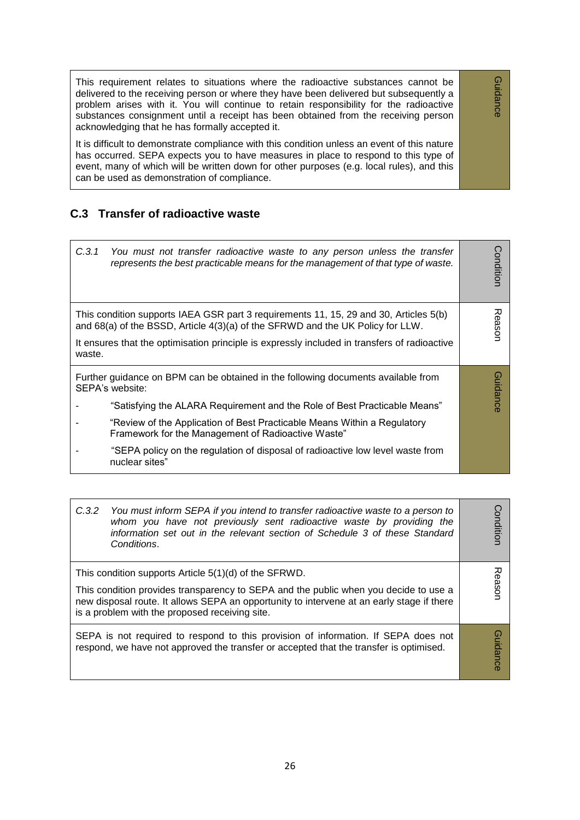This requirement relates to situations where the radioactive substances cannot be delivered to the receiving person or where they have been delivered but subsequently a problem arises with it. You will continue to retain responsibility for the radioactive substances consignment until a receipt has been obtained from the receiving person acknowledging that he has formally accepted it.

Guidance

Guidance

It is difficult to demonstrate compliance with this condition unless an event of this nature has occurred. SEPA expects you to have measures in place to respond to this type of event, many of which will be written down for other purposes (e.g. local rules), and this can be used as demonstration of compliance.

#### **C.3 Transfer of radioactive waste**

| C.3.1<br>You must not transfer radioactive waste to any person unless the transfer<br>represents the best practicable means for the management of that type of waste.                                                                                                                                                                                                                                                   | Conditior       |
|-------------------------------------------------------------------------------------------------------------------------------------------------------------------------------------------------------------------------------------------------------------------------------------------------------------------------------------------------------------------------------------------------------------------------|-----------------|
| This condition supports IAEA GSR part 3 requirements 11, 15, 29 and 30, Articles 5(b)<br>and $68(a)$ of the BSSD, Article $4(3)(a)$ of the SFRWD and the UK Policy for LLW.<br>It ensures that the optimisation principle is expressly included in transfers of radioactive<br>waste.                                                                                                                                   | Reason          |
| Further guidance on BPM can be obtained in the following documents available from<br>SEPA's website:<br>"Satisfying the ALARA Requirement and the Role of Best Practicable Means"<br>"Review of the Application of Best Practicable Means Within a Regulatory<br>Framework for the Management of Radioactive Waste"<br>"SEPA policy on the regulation of disposal of radioactive low level waste from<br>nuclear sites" | <b>Guidance</b> |

| C.3.2<br>You must inform SEPA if you intend to transfer radioactive waste to a person to<br>whom you have not previously sent radioactive waste by providing the<br>information set out in the relevant section of Schedule 3 of these Standard<br>Conditions.                               | Conditior       |
|----------------------------------------------------------------------------------------------------------------------------------------------------------------------------------------------------------------------------------------------------------------------------------------------|-----------------|
| This condition supports Article 5(1)(d) of the SFRWD.<br>This condition provides transparency to SEPA and the public when you decide to use a<br>new disposal route. It allows SEPA an opportunity to intervene at an early stage if there<br>is a problem with the proposed receiving site. | Reason          |
| SEPA is not required to respond to this provision of information. If SEPA does not<br>respond, we have not approved the transfer or accepted that the transfer is optimised.                                                                                                                 | <b>Guidance</b> |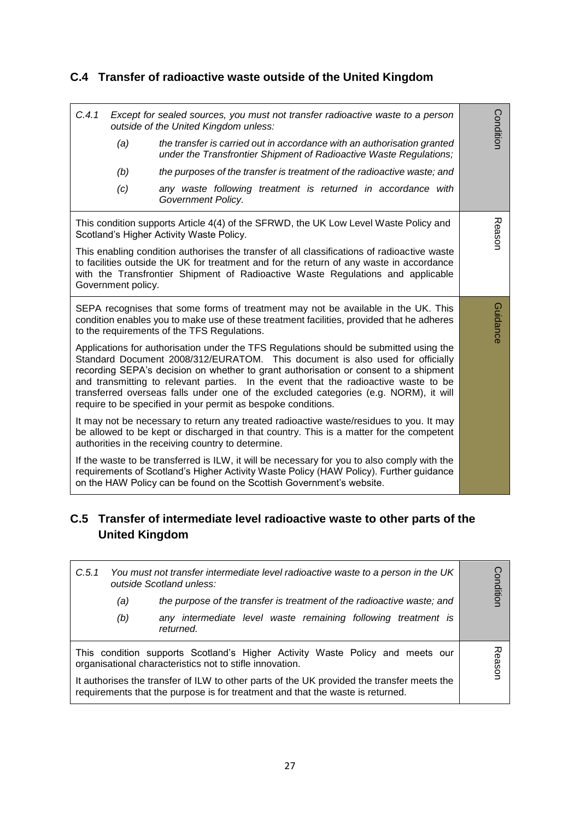## **C.4 Transfer of radioactive waste outside of the United Kingdom**

| C.4.1 | (a)                | Except for sealed sources, you must not transfer radioactive waste to a person<br>outside of the United Kingdom unless:<br>the transfer is carried out in accordance with an authorisation granted<br>under the Transfrontier Shipment of Radioactive Waste Regulations;                                                                                                                                                                                                                                                                                                                                                                                                                                                                         | Condition |
|-------|--------------------|--------------------------------------------------------------------------------------------------------------------------------------------------------------------------------------------------------------------------------------------------------------------------------------------------------------------------------------------------------------------------------------------------------------------------------------------------------------------------------------------------------------------------------------------------------------------------------------------------------------------------------------------------------------------------------------------------------------------------------------------------|-----------|
|       | (b)                | the purposes of the transfer is treatment of the radioactive waste; and                                                                                                                                                                                                                                                                                                                                                                                                                                                                                                                                                                                                                                                                          |           |
|       | (c)                | any waste following treatment is returned in accordance with<br>Government Policy.                                                                                                                                                                                                                                                                                                                                                                                                                                                                                                                                                                                                                                                               |           |
|       | Government policy. | This condition supports Article 4(4) of the SFRWD, the UK Low Level Waste Policy and<br>Scotland's Higher Activity Waste Policy.<br>This enabling condition authorises the transfer of all classifications of radioactive waste<br>to facilities outside the UK for treatment and for the return of any waste in accordance<br>with the Transfrontier Shipment of Radioactive Waste Regulations and applicable                                                                                                                                                                                                                                                                                                                                   | Reason    |
|       |                    | SEPA recognises that some forms of treatment may not be available in the UK. This<br>condition enables you to make use of these treatment facilities, provided that he adheres<br>to the requirements of the TFS Regulations.<br>Applications for authorisation under the TFS Regulations should be submitted using the<br>Standard Document 2008/312/EURATOM. This document is also used for officially<br>recording SEPA's decision on whether to grant authorisation or consent to a shipment<br>and transmitting to relevant parties. In the event that the radioactive waste to be<br>transferred overseas falls under one of the excluded categories (e.g. NORM), it will<br>require to be specified in your permit as bespoke conditions. | Guidance  |
|       |                    | It may not be necessary to return any treated radioactive waste/residues to you. It may<br>be allowed to be kept or discharged in that country. This is a matter for the competent<br>authorities in the receiving country to determine.                                                                                                                                                                                                                                                                                                                                                                                                                                                                                                         |           |
|       |                    | If the waste to be transferred is ILW, it will be necessary for you to also comply with the<br>requirements of Scotland's Higher Activity Waste Policy (HAW Policy). Further guidance<br>on the HAW Policy can be found on the Scottish Government's website.                                                                                                                                                                                                                                                                                                                                                                                                                                                                                    |           |

### **C.5 Transfer of intermediate level radioactive waste to other parts of the United Kingdom**

| C.5.1<br>You must not transfer intermediate level radioactive waste to a person in the UK<br>outside Scotland unless:                                                        |     | Condition                                                                                                                                 |            |
|------------------------------------------------------------------------------------------------------------------------------------------------------------------------------|-----|-------------------------------------------------------------------------------------------------------------------------------------------|------------|
|                                                                                                                                                                              | (a) | the purpose of the transfer is treatment of the radioactive waste; and                                                                    |            |
|                                                                                                                                                                              | (b) | any intermediate level waste remaining following treatment is<br>returned.                                                                |            |
|                                                                                                                                                                              |     | This condition supports Scotland's Higher Activity Waste Policy and meets our<br>organisational characteristics not to stifle innovation. | 观<br>eason |
| It authorises the transfer of ILW to other parts of the UK provided the transfer meets the<br>requirements that the purpose is for treatment and that the waste is returned. |     |                                                                                                                                           |            |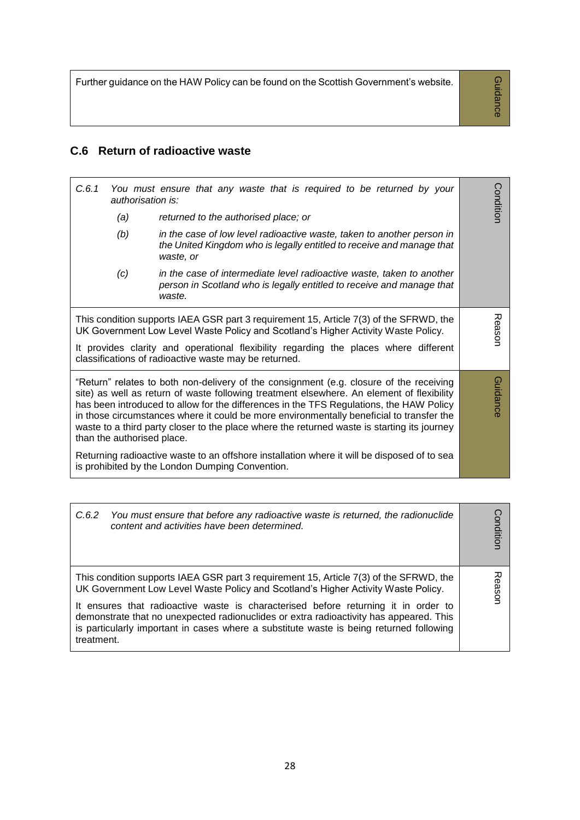Further guidance on the HAW Policy can be found on the Scottish Government's website.

Guidance Guidance

### **C.6 Return of radioactive waste**

| C.6.1<br>authorisation is: | You must ensure that any waste that is required to be returned by your                                                                                                                                                                                                                                                                                                                                                                                                     | Condition |
|----------------------------|----------------------------------------------------------------------------------------------------------------------------------------------------------------------------------------------------------------------------------------------------------------------------------------------------------------------------------------------------------------------------------------------------------------------------------------------------------------------------|-----------|
| (a)                        | returned to the authorised place; or                                                                                                                                                                                                                                                                                                                                                                                                                                       |           |
| (b)                        | in the case of low level radioactive waste, taken to another person in<br>the United Kingdom who is legally entitled to receive and manage that<br>waste, or                                                                                                                                                                                                                                                                                                               |           |
| (c)                        | in the case of intermediate level radioactive waste, taken to another<br>person in Scotland who is legally entitled to receive and manage that<br>waste.                                                                                                                                                                                                                                                                                                                   |           |
|                            | This condition supports IAEA GSR part 3 requirement 15, Article 7(3) of the SFRWD, the<br>UK Government Low Level Waste Policy and Scotland's Higher Activity Waste Policy.<br>It provides clarity and operational flexibility regarding the places where different<br>classifications of radioactive waste may be returned.                                                                                                                                               | Reason    |
| than the authorised place. | "Return" relates to both non-delivery of the consignment (e.g. closure of the receiving<br>site) as well as return of waste following treatment elsewhere. An element of flexibility<br>has been introduced to allow for the differences in the TFS Regulations, the HAW Policy<br>in those circumstances where it could be more environmentally beneficial to transfer the<br>waste to a third party closer to the place where the returned waste is starting its journey | Guidance  |
|                            | Returning radioactive waste to an offshore installation where it will be disposed of to sea<br>is prohibited by the London Dumping Convention.                                                                                                                                                                                                                                                                                                                             |           |

| You must ensure that before any radioactive waste is returned, the radionuclide<br>C.6.2<br>content and activities have been determined.                                                                                                                                                                                                                                                                                                                             | onditior |
|----------------------------------------------------------------------------------------------------------------------------------------------------------------------------------------------------------------------------------------------------------------------------------------------------------------------------------------------------------------------------------------------------------------------------------------------------------------------|----------|
| This condition supports IAEA GSR part 3 requirement 15, Article 7(3) of the SFRWD, the<br>UK Government Low Level Waste Policy and Scotland's Higher Activity Waste Policy.<br>It ensures that radioactive waste is characterised before returning it in order to<br>demonstrate that no unexpected radionuclides or extra radioactivity has appeared. This<br>is particularly important in cases where a substitute waste is being returned following<br>treatment. | Reasor   |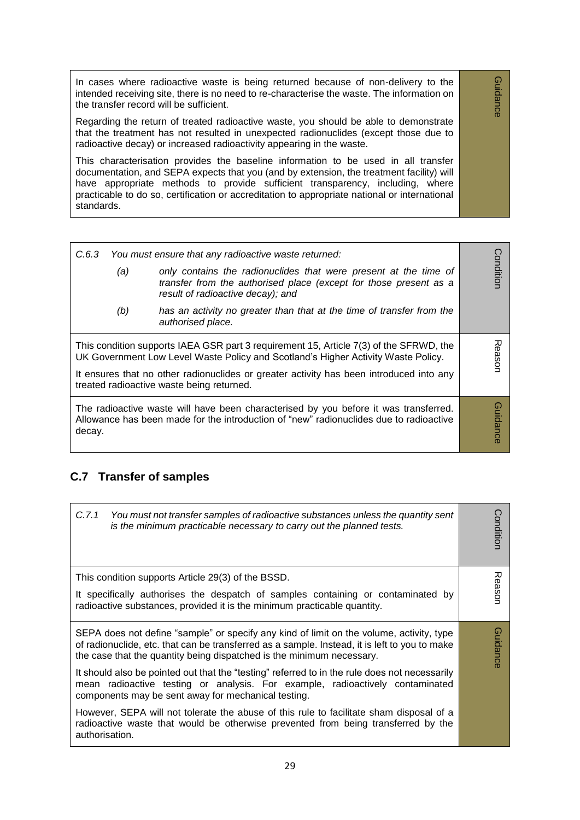In cases where radioactive waste is being returned because of non-delivery to the intended receiving site, there is no need to re-characterise the waste. The information on the transfer record will be sufficient.

Guidance

Guidance

Regarding the return of treated radioactive waste, you should be able to demonstrate that the treatment has not resulted in unexpected radionuclides (except those due to radioactive decay) or increased radioactivity appearing in the waste.

This characterisation provides the baseline information to be used in all transfer documentation, and SEPA expects that you (and by extension, the treatment facility) will have appropriate methods to provide sufficient transparency, including, where practicable to do so, certification or accreditation to appropriate national or international standards.

| C.6.3<br>(a)<br>(b)                                                                                                                                                                      | You must ensure that any radioactive waste returned:<br>only contains the radionuclides that were present at the time of<br>transfer from the authorised place (except for those present as a<br>result of radioactive decay); and<br>has an activity no greater than that at the time of transfer from the<br>authorised place. | Condition       |
|------------------------------------------------------------------------------------------------------------------------------------------------------------------------------------------|----------------------------------------------------------------------------------------------------------------------------------------------------------------------------------------------------------------------------------------------------------------------------------------------------------------------------------|-----------------|
|                                                                                                                                                                                          | This condition supports IAEA GSR part 3 requirement 15, Article 7(3) of the SFRWD, the<br>UK Government Low Level Waste Policy and Scotland's Higher Activity Waste Policy.<br>It ensures that no other radionuclides or greater activity has been introduced into any<br>treated radioactive waste being returned.              | Reasor          |
| The radioactive waste will have been characterised by you before it was transferred.<br>Allowance has been made for the introduction of "new" radionuclides due to radioactive<br>decay. |                                                                                                                                                                                                                                                                                                                                  | <b>Guidance</b> |

### **C.7 Transfer of samples**

| C.7.1<br>You must not transfer samples of radioactive substances unless the quantity sent<br>is the minimum practicable necessary to carry out the planned tests.                                                                                                  | Condition       |
|--------------------------------------------------------------------------------------------------------------------------------------------------------------------------------------------------------------------------------------------------------------------|-----------------|
| This condition supports Article 29(3) of the BSSD.                                                                                                                                                                                                                 |                 |
| It specifically authorises the despatch of samples containing or contaminated by<br>radioactive substances, provided it is the minimum practicable quantity.                                                                                                       | Reason          |
| SEPA does not define "sample" or specify any kind of limit on the volume, activity, type<br>of radionuclide, etc. that can be transferred as a sample. Instead, it is left to you to make<br>the case that the quantity being dispatched is the minimum necessary. | <b>Guidance</b> |
| It should also be pointed out that the "testing" referred to in the rule does not necessarily<br>mean radioactive testing or analysis. For example, radioactively contaminated<br>components may be sent away for mechanical testing.                              |                 |
| However, SEPA will not tolerate the abuse of this rule to facilitate sham disposal of a<br>radioactive waste that would be otherwise prevented from being transferred by the<br>authorisation.                                                                     |                 |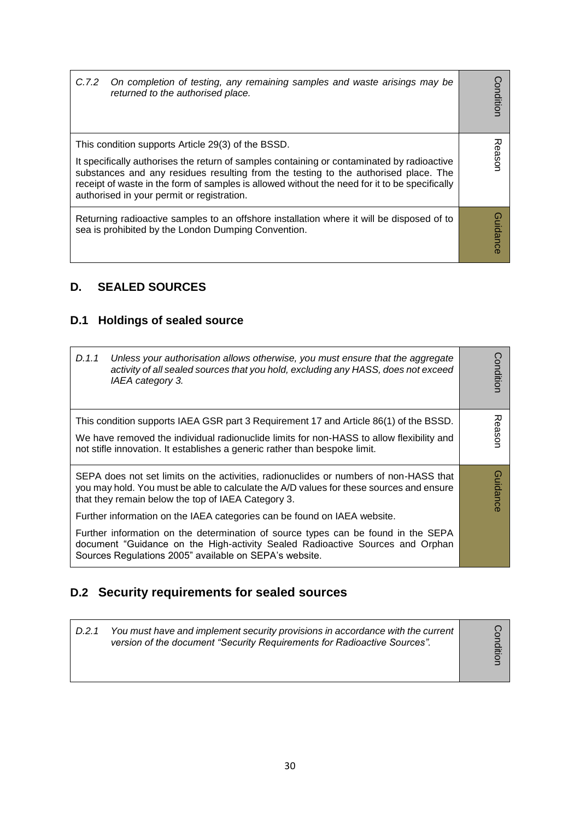| C.7.2 | On completion of testing, any remaining samples and waste arisings may be<br>returned to the authorised place.                                                                                                                                                                                                                                                                         | Conditior |
|-------|----------------------------------------------------------------------------------------------------------------------------------------------------------------------------------------------------------------------------------------------------------------------------------------------------------------------------------------------------------------------------------------|-----------|
|       | This condition supports Article 29(3) of the BSSD.<br>It specifically authorises the return of samples containing or contaminated by radioactive<br>substances and any residues resulting from the testing to the authorised place. The<br>receipt of waste in the form of samples is allowed without the need for it to be specifically<br>authorised in your permit or registration. | Reason    |
|       | Returning radioactive samples to an offshore installation where it will be disposed of to<br>sea is prohibited by the London Dumping Convention.                                                                                                                                                                                                                                       | iuidance  |

# **D. SEALED SOURCES**

## **D.1 Holdings of sealed source**

| D.1.1 | Unless your authorisation allows otherwise, you must ensure that the aggregate<br>activity of all sealed sources that you hold, excluding any HASS, does not exceed<br>IAEA category 3.                                                | onditior        |
|-------|----------------------------------------------------------------------------------------------------------------------------------------------------------------------------------------------------------------------------------------|-----------------|
|       | This condition supports IAEA GSR part 3 Requirement 17 and Article 86(1) of the BSSD.                                                                                                                                                  | 观               |
|       | We have removed the individual radionuclide limits for non-HASS to allow flexibility and<br>not stifle innovation. It establishes a generic rather than bespoke limit.                                                                 | easor           |
|       | SEPA does not set limits on the activities, radionuclides or numbers of non-HASS that<br>you may hold. You must be able to calculate the A/D values for these sources and ensure<br>that they remain below the top of IAEA Category 3. | <b>Guidance</b> |
|       | Further information on the IAEA categories can be found on IAEA website.                                                                                                                                                               |                 |
|       | Further information on the determination of source types can be found in the SEPA<br>document "Guidance on the High-activity Sealed Radioactive Sources and Orphan<br>Sources Regulations 2005" available on SEPA's website.           |                 |

## **D.2 Security requirements for sealed sources**

| D.2.1 | You must have and implement security provisions in accordance with the current<br>version of the document "Security Requirements for Radioactive Sources". |  |
|-------|------------------------------------------------------------------------------------------------------------------------------------------------------------|--|
|-------|------------------------------------------------------------------------------------------------------------------------------------------------------------|--|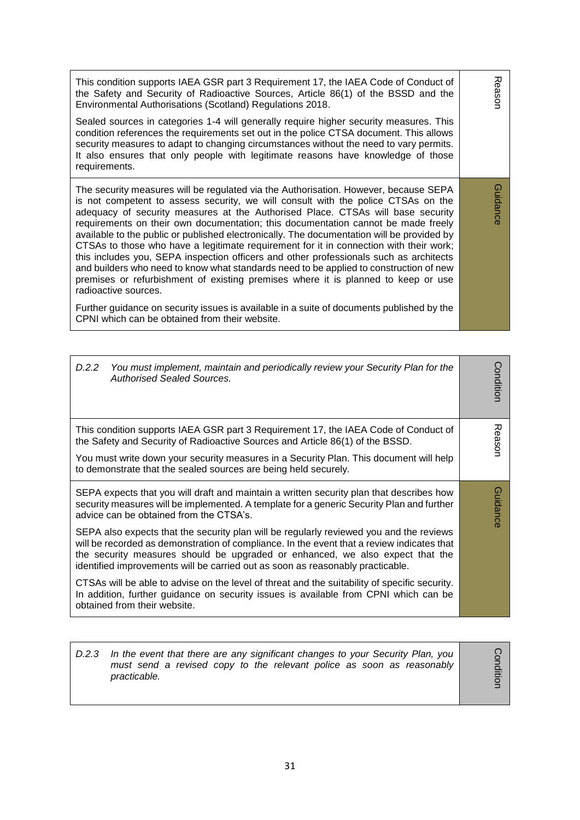Reason This condition supports IAEA GSR part 3 Requirement 17, the IAEA Code of Conduct of the Safety and Security of Radioactive Sources, Article 86(1) of the BSSD and the Environmental Authorisations (Scotland) Regulations 2018. Sealed sources in categories 1-4 will generally require higher security measures. This condition references the requirements set out in the police CTSA document. This allows security measures to adapt to changing circumstances without the need to vary permits. It also ensures that only people with legitimate reasons have knowledge of those requirements. Guidance The security measures will be regulated via the Authorisation. However, because SEPA Guidance is not competent to assess security, we will consult with the police CTSAs on the adequacy of security measures at the Authorised Place. CTSAs will base security requirements on their own documentation; this documentation cannot be made freely available to the public or published electronically. The documentation will be provided by CTSAs to those who have a legitimate requirement for it in connection with their work; this includes you, SEPA inspection officers and other professionals such as architects and builders who need to know what standards need to be applied to construction of new premises or refurbishment of existing premises where it is planned to keep or use radioactive sources. Further guidance on security issues is available in a suite of documents published by the CPNI which can be obtained from their website.

| D.2.2<br>You must implement, maintain and periodically review your Security Plan for the<br><b>Authorised Sealed Sources.</b>                                                                                                                                                                                                                            | Conditior |
|----------------------------------------------------------------------------------------------------------------------------------------------------------------------------------------------------------------------------------------------------------------------------------------------------------------------------------------------------------|-----------|
| This condition supports IAEA GSR part 3 Requirement 17, the IAEA Code of Conduct of<br>the Safety and Security of Radioactive Sources and Article 86(1) of the BSSD.<br>You must write down your security measures in a Security Plan. This document will help<br>to demonstrate that the sealed sources are being held securely.                        | Reasor    |
| SEPA expects that you will draft and maintain a written security plan that describes how<br>security measures will be implemented. A template for a generic Security Plan and further<br>advice can be obtained from the CTSA's.                                                                                                                         | Guidance  |
| SEPA also expects that the security plan will be regularly reviewed you and the reviews<br>will be recorded as demonstration of compliance. In the event that a review indicates that<br>the security measures should be upgraded or enhanced, we also expect that the<br>identified improvements will be carried out as soon as reasonably practicable. |           |
| CTSAs will be able to advise on the level of threat and the suitability of specific security.<br>In addition, further guidance on security issues is available from CPNI which can be<br>obtained from their website.                                                                                                                                    |           |

| D.2.3 In the event that there are any significant changes to your Security Plan, you<br>must send a revised copy to the relevant police as soon as reasonably<br>practicable. |  |
|-------------------------------------------------------------------------------------------------------------------------------------------------------------------------------|--|
|-------------------------------------------------------------------------------------------------------------------------------------------------------------------------------|--|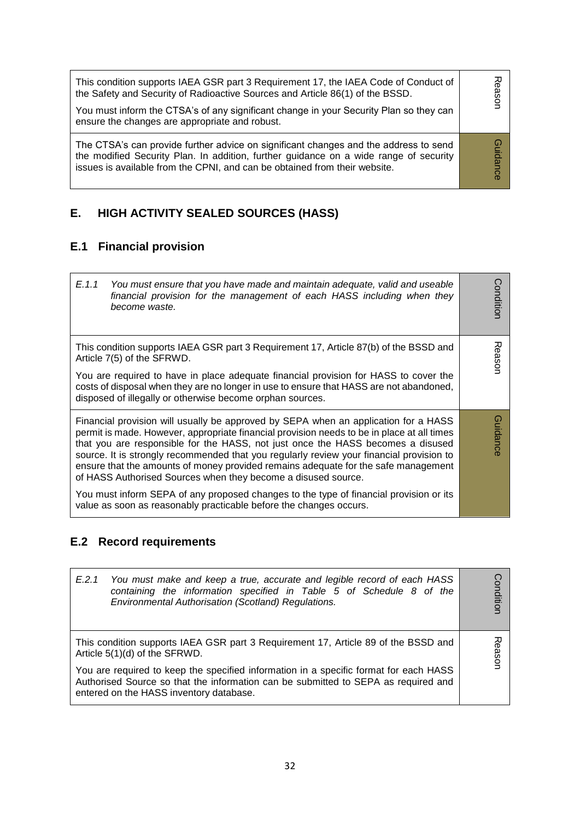| This condition supports IAEA GSR part 3 Requirement 17, the IAEA Code of Conduct of<br>the Safety and Security of Radioactive Sources and Article 86(1) of the BSSD.<br>You must inform the CTSA's of any significant change in your Security Plan so they can<br>ensure the changes are appropriate and robust. | easor  |
|------------------------------------------------------------------------------------------------------------------------------------------------------------------------------------------------------------------------------------------------------------------------------------------------------------------|--------|
| The CTSA's can provide further advice on significant changes and the address to send<br>the modified Security Plan. In addition, further guidance on a wide range of security<br>issues is available from the CPNI, and can be obtained from their website.                                                      | Ω<br>ഇ |

# **E. HIGH ACTIVITY SEALED SOURCES (HASS)**

## **E.1 Financial provision**

| E.1.1<br>You must ensure that you have made and maintain adequate, valid and useable<br>financial provision for the management of each HASS including when they<br>become waste.                                                                                                                                                                                                                                                                                                                                        | Conditior |
|-------------------------------------------------------------------------------------------------------------------------------------------------------------------------------------------------------------------------------------------------------------------------------------------------------------------------------------------------------------------------------------------------------------------------------------------------------------------------------------------------------------------------|-----------|
| This condition supports IAEA GSR part 3 Requirement 17, Article 87(b) of the BSSD and<br>Article 7(5) of the SFRWD.                                                                                                                                                                                                                                                                                                                                                                                                     | Reason    |
| You are required to have in place adequate financial provision for HASS to cover the<br>costs of disposal when they are no longer in use to ensure that HASS are not abandoned,<br>disposed of illegally or otherwise become orphan sources.                                                                                                                                                                                                                                                                            |           |
| Financial provision will usually be approved by SEPA when an application for a HASS<br>permit is made. However, appropriate financial provision needs to be in place at all times<br>that you are responsible for the HASS, not just once the HASS becomes a disused<br>source. It is strongly recommended that you regularly review your financial provision to<br>ensure that the amounts of money provided remains adequate for the safe management<br>of HASS Authorised Sources when they become a disused source. | Guidance  |
| You must inform SEPA of any proposed changes to the type of financial provision or its<br>value as soon as reasonably practicable before the changes occurs.                                                                                                                                                                                                                                                                                                                                                            |           |

# **E.2 Record requirements**

| You must make and keep a true, accurate and legible record of each HASS<br>E.2.1<br>containing the information specified in Table 5 of Schedule 8 of the<br>Environmental Authorisation (Scotland) Regulations.        | ondition |
|------------------------------------------------------------------------------------------------------------------------------------------------------------------------------------------------------------------------|----------|
| This condition supports IAEA GSR part 3 Requirement 17, Article 89 of the BSSD and<br>Article 5(1)(d) of the SFRWD.                                                                                                    | ason     |
| You are required to keep the specified information in a specific format for each HASS<br>Authorised Source so that the information can be submitted to SEPA as required and<br>entered on the HASS inventory database. |          |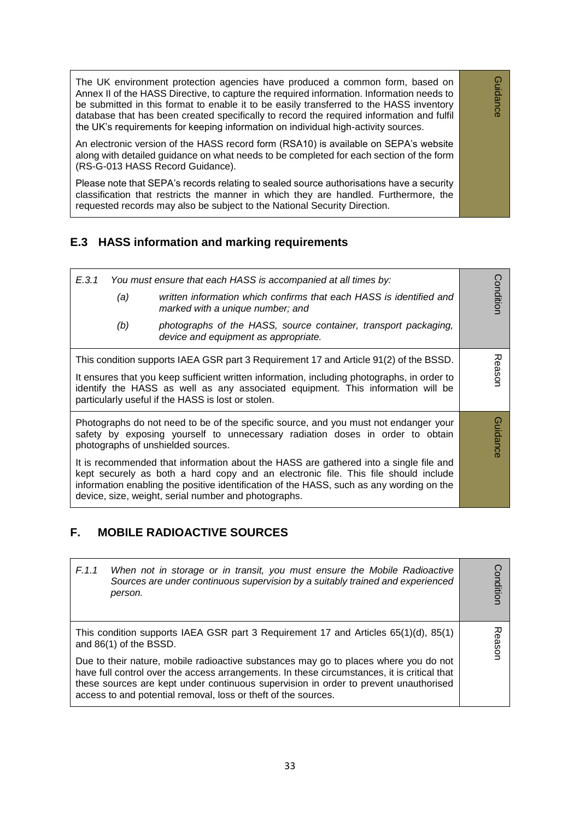The UK environment protection agencies have produced a common form, based on Annex II of the HASS Directive, to capture the required information. Information needs to be submitted in this format to enable it to be easily transferred to the HASS inventory database that has been created specifically to record the required information and fulfil the UK's requirements for keeping information on individual high-activity sources.

Guidance

Guidance

An electronic version of the HASS record form (RSA10) is available on SEPA's website along with detailed guidance on what needs to be completed for each section of the form (RS-G-013 HASS Record Guidance).

Please note that SEPA's records relating to sealed source authorisations have a security classification that restricts the manner in which they are handled. Furthermore, the requested records may also be subject to the National Security Direction.

#### **E.3 HASS information and marking requirements**

| E.3.1 | (a)<br>(b) | You must ensure that each HASS is accompanied at all times by:<br>written information which confirms that each HASS is identified and<br>marked with a unique number; and<br>photographs of the HASS, source container, transport packaging,<br>device and equipment as appropriate.                                            | ondition |
|-------|------------|---------------------------------------------------------------------------------------------------------------------------------------------------------------------------------------------------------------------------------------------------------------------------------------------------------------------------------|----------|
|       |            | This condition supports IAEA GSR part 3 Requirement 17 and Article 91(2) of the BSSD.<br>It ensures that you keep sufficient written information, including photographs, in order to<br>identify the HASS as well as any associated equipment. This information will be<br>particularly useful if the HASS is lost or stolen.   | Reason   |
|       |            | Photographs do not need to be of the specific source, and you must not endanger your<br>safety by exposing yourself to unnecessary radiation doses in order to obtain<br>photographs of unshielded sources.                                                                                                                     | Guidance |
|       |            | It is recommended that information about the HASS are gathered into a single file and<br>kept securely as both a hard copy and an electronic file. This file should include<br>information enabling the positive identification of the HASS, such as any wording on the<br>device, size, weight, serial number and photographs. |          |

#### **F. MOBILE RADIOACTIVE SOURCES**

|                                                                                                                                                                                                                                                                                                                                               | F.1.1 | When not in storage or in transit, you must ensure the Mobile Radioactive<br>Sources are under continuous supervision by a suitably trained and experienced<br>person. | ondition |
|-----------------------------------------------------------------------------------------------------------------------------------------------------------------------------------------------------------------------------------------------------------------------------------------------------------------------------------------------|-------|------------------------------------------------------------------------------------------------------------------------------------------------------------------------|----------|
|                                                                                                                                                                                                                                                                                                                                               |       | This condition supports IAEA GSR part 3 Requirement 17 and Articles 65(1)(d), 85(1)<br>and 86(1) of the BSSD.                                                          | iasol    |
| Due to their nature, mobile radioactive substances may go to places where you do not<br>have full control over the access arrangements. In these circumstances, it is critical that<br>these sources are kept under continuous supervision in order to prevent unauthorised<br>access to and potential removal, loss or theft of the sources. |       |                                                                                                                                                                        |          |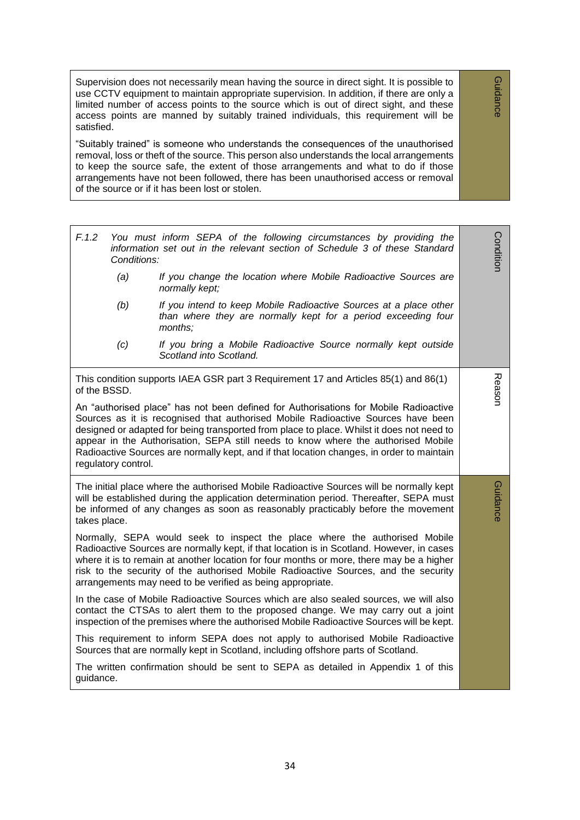Supervision does not necessarily mean having the source in direct sight. It is possible to use CCTV equipment to maintain appropriate supervision. In addition, if there are only a limited number of access points to the source which is out of direct sight, and these access points are manned by suitably trained individuals, this requirement will be satisfied.

Guidance

Guidance

"Suitably trained" is someone who understands the consequences of the unauthorised removal, loss or theft of the source. This person also understands the local arrangements to keep the source safe, the extent of those arrangements and what to do if those arrangements have not been followed, there has been unauthorised access or removal of the source or if it has been lost or stolen.

| F.1.2<br>Conditions:                                                                                                                                                                                                                                                                                                                                                                                                                                                           | You must inform SEPA of the following circumstances by providing the<br>information set out in the relevant section of Schedule 3 of these Standard                                                                                                                   | Condition |
|--------------------------------------------------------------------------------------------------------------------------------------------------------------------------------------------------------------------------------------------------------------------------------------------------------------------------------------------------------------------------------------------------------------------------------------------------------------------------------|-----------------------------------------------------------------------------------------------------------------------------------------------------------------------------------------------------------------------------------------------------------------------|-----------|
| (a)                                                                                                                                                                                                                                                                                                                                                                                                                                                                            | If you change the location where Mobile Radioactive Sources are<br>normally kept;                                                                                                                                                                                     |           |
| (b)                                                                                                                                                                                                                                                                                                                                                                                                                                                                            | If you intend to keep Mobile Radioactive Sources at a place other<br>than where they are normally kept for a period exceeding four<br>months;                                                                                                                         |           |
| (c)                                                                                                                                                                                                                                                                                                                                                                                                                                                                            | If you bring a Mobile Radioactive Source normally kept outside<br>Scotland into Scotland.                                                                                                                                                                             |           |
| of the BSSD.                                                                                                                                                                                                                                                                                                                                                                                                                                                                   | This condition supports IAEA GSR part 3 Requirement 17 and Articles 85(1) and 86(1)                                                                                                                                                                                   | Reason    |
| An "authorised place" has not been defined for Authorisations for Mobile Radioactive<br>Sources as it is recognised that authorised Mobile Radioactive Sources have been<br>designed or adapted for being transported from place to place. Whilst it does not need to<br>appear in the Authorisation, SEPA still needs to know where the authorised Mobile<br>Radioactive Sources are normally kept, and if that location changes, in order to maintain<br>regulatory control. |                                                                                                                                                                                                                                                                       |           |
| takes place.                                                                                                                                                                                                                                                                                                                                                                                                                                                                   | The initial place where the authorised Mobile Radioactive Sources will be normally kept<br>will be established during the application determination period. Thereafter, SEPA must<br>be informed of any changes as soon as reasonably practicably before the movement | Guidance  |
| Normally, SEPA would seek to inspect the place where the authorised Mobile<br>Radioactive Sources are normally kept, if that location is in Scotland. However, in cases<br>where it is to remain at another location for four months or more, there may be a higher<br>risk to the security of the authorised Mobile Radioactive Sources, and the security<br>arrangements may need to be verified as being appropriate.                                                       |                                                                                                                                                                                                                                                                       |           |
|                                                                                                                                                                                                                                                                                                                                                                                                                                                                                | In the case of Mobile Radioactive Sources which are also sealed sources, we will also<br>contact the CTSAs to alert them to the proposed change. We may carry out a joint<br>inspection of the premises where the authorised Mobile Radioactive Sources will be kept. |           |
|                                                                                                                                                                                                                                                                                                                                                                                                                                                                                | This requirement to inform SEPA does not apply to authorised Mobile Radioactive<br>Sources that are normally kept in Scotland, including offshore parts of Scotland.                                                                                                  |           |
| The written confirmation should be sent to SEPA as detailed in Appendix 1 of this<br>guidance.                                                                                                                                                                                                                                                                                                                                                                                 |                                                                                                                                                                                                                                                                       |           |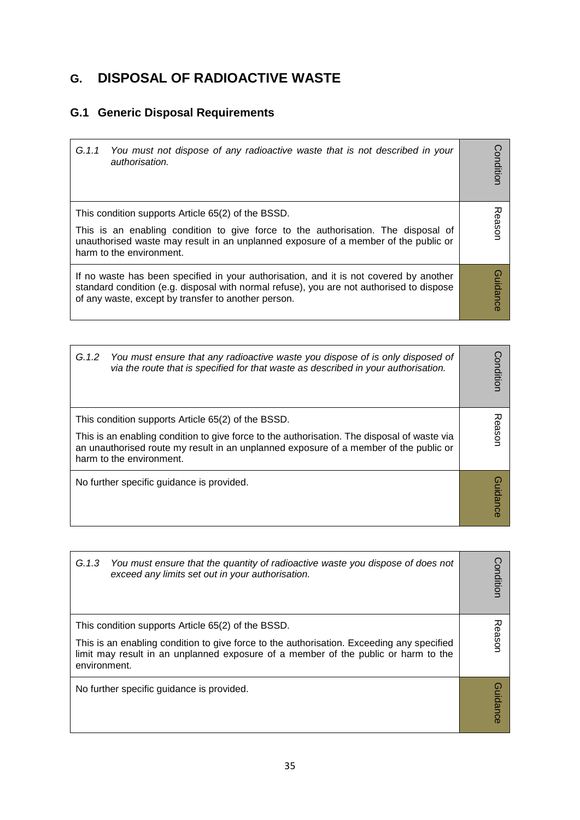# **G. DISPOSAL OF RADIOACTIVE WASTE**

### **G.1 Generic Disposal Requirements**

| G.1.1<br>You must not dispose of any radioactive waste that is not described in your<br>authorisation.                                                                                                                                                     | Conditior       |
|------------------------------------------------------------------------------------------------------------------------------------------------------------------------------------------------------------------------------------------------------------|-----------------|
| This condition supports Article 65(2) of the BSSD.<br>This is an enabling condition to give force to the authorisation. The disposal of<br>unauthorised waste may result in an unplanned exposure of a member of the public or<br>harm to the environment. | Reasor          |
| If no waste has been specified in your authorisation, and it is not covered by another<br>standard condition (e.g. disposal with normal refuse), you are not authorised to dispose<br>of any waste, except by transfer to another person.                  | <b>Guidance</b> |

 $\overline{\phantom{0}}$ 

| G.1.2<br>You must ensure that any radioactive waste you dispose of is only disposed of<br>via the route that is specified for that waste as described in your authorisation.                                                                                           | onditior |
|------------------------------------------------------------------------------------------------------------------------------------------------------------------------------------------------------------------------------------------------------------------------|----------|
| This condition supports Article 65(2) of the BSSD.<br>This is an enabling condition to give force to the authorisation. The disposal of waste via<br>an unauthorised route my result in an unplanned exposure of a member of the public or<br>harm to the environment. | ës<br>O  |
| No further specific guidance is provided.                                                                                                                                                                                                                              | Jidanc   |

| G.1.3<br>You must ensure that the quantity of radioactive waste you dispose of does not<br>exceed any limits set out in your authorisation.                                                                                                           | onditior        |
|-------------------------------------------------------------------------------------------------------------------------------------------------------------------------------------------------------------------------------------------------------|-----------------|
| This condition supports Article 65(2) of the BSSD.<br>This is an enabling condition to give force to the authorisation. Exceeding any specified<br>limit may result in an unplanned exposure of a member of the public or harm to the<br>environment. | Reason          |
| No further specific guidance is provided.                                                                                                                                                                                                             | <b>Guidance</b> |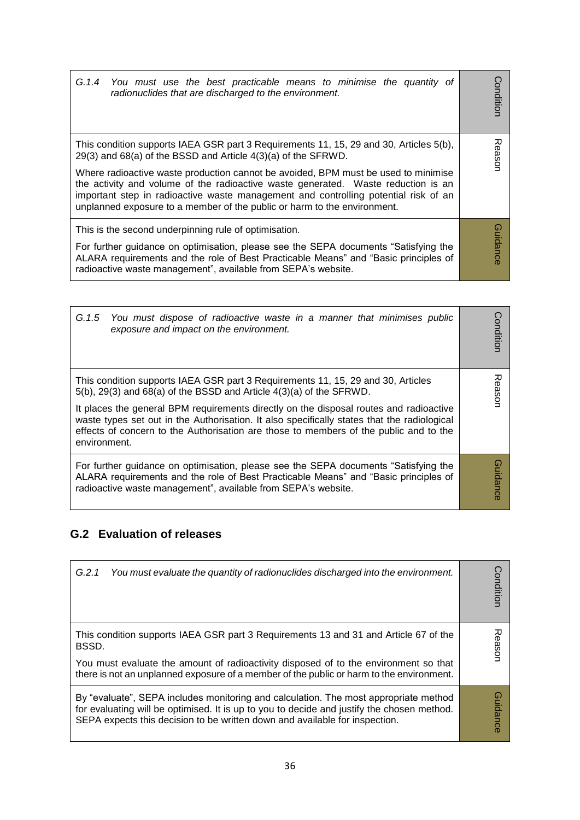| G.1.4 You must use the best practicable means to minimise the quantity of<br>radionuclides that are discharged to the environment.                                                                                                                                                                                                         | Conditior       |
|--------------------------------------------------------------------------------------------------------------------------------------------------------------------------------------------------------------------------------------------------------------------------------------------------------------------------------------------|-----------------|
| This condition supports IAEA GSR part 3 Requirements 11, 15, 29 and 30, Articles 5(b),<br>29(3) and 68(a) of the BSSD and Article 4(3)(a) of the SFRWD.                                                                                                                                                                                    | Reason          |
| Where radioactive waste production cannot be avoided, BPM must be used to minimise<br>the activity and volume of the radioactive waste generated. Waste reduction is an<br>important step in radioactive waste management and controlling potential risk of an<br>unplanned exposure to a member of the public or harm to the environment. |                 |
| This is the second underpinning rule of optimisation.                                                                                                                                                                                                                                                                                      |                 |
| For further guidance on optimisation, please see the SEPA documents "Satisfying the<br>ALARA requirements and the role of Best Practicable Means" and "Basic principles of<br>radioactive waste management", available from SEPA's website.                                                                                                | <b>Guidance</b> |

| G.1.5 You must dispose of radioactive waste in a manner that minimises public<br>exposure and impact on the environment.                                                                                                                                                                                                                                                                                                                                       | onditior |
|----------------------------------------------------------------------------------------------------------------------------------------------------------------------------------------------------------------------------------------------------------------------------------------------------------------------------------------------------------------------------------------------------------------------------------------------------------------|----------|
| This condition supports IAEA GSR part 3 Requirements 11, 15, 29 and 30, Articles<br>$5(b)$ , 29(3) and 68(a) of the BSSD and Article $4(3)(a)$ of the SFRWD.<br>It places the general BPM requirements directly on the disposal routes and radioactive<br>waste types set out in the Authorisation. It also specifically states that the radiological<br>effects of concern to the Authorisation are those to members of the public and to the<br>environment. | uose;    |
| For further guidance on optimisation, please see the SEPA documents "Satisfying the<br>ALARA requirements and the role of Best Practicable Means" and "Basic principles of<br>radioactive waste management", available from SEPA's website.                                                                                                                                                                                                                    | uidance  |

### **G.2 Evaluation of releases**

| G.2.1<br>You must evaluate the quantity of radionuclides discharged into the environment.                                                                                                                                                                                         | Conditior         |
|-----------------------------------------------------------------------------------------------------------------------------------------------------------------------------------------------------------------------------------------------------------------------------------|-------------------|
| This condition supports IAEA GSR part 3 Requirements 13 and 31 and Article 67 of the<br>BSSD.<br>You must evaluate the amount of radioactivity disposed of to the environment so that<br>there is not an unplanned exposure of a member of the public or harm to the environment. | 观<br><b>Gason</b> |
| By "evaluate", SEPA includes monitoring and calculation. The most appropriate method<br>for evaluating will be optimised. It is up to you to decide and justify the chosen method.<br>SEPA expects this decision to be written down and available for inspection.                 | <b>Guidance</b>   |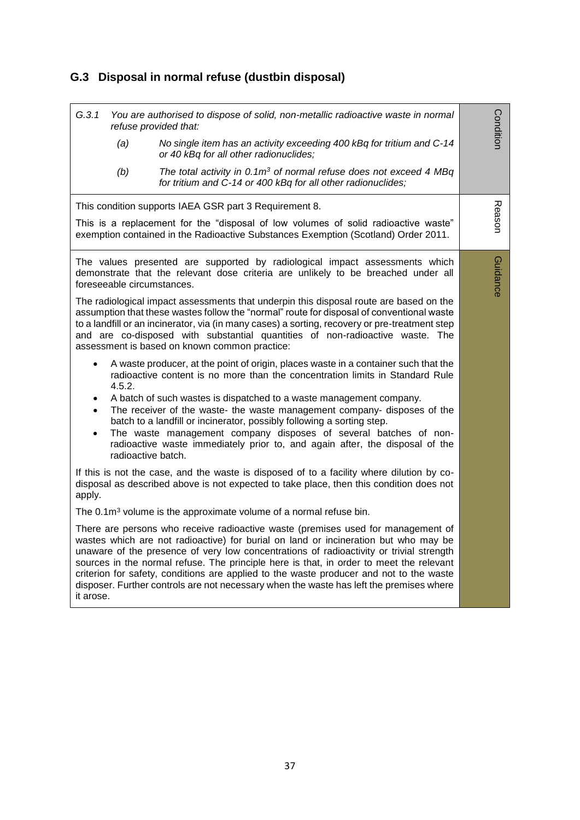# **G.3 Disposal in normal refuse (dustbin disposal)**

| G.3.1<br>(a)<br>(b)                                                                                                                                                                                                                                                                                                                                                                                                                                                                                                                                              | You are authorised to dispose of solid, non-metallic radioactive waste in normal<br>refuse provided that:<br>No single item has an activity exceeding 400 kBq for tritium and C-14<br>or 40 kBq for all other radionuclides;<br>The total activity in $0.1m3$ of normal refuse does not exceed 4 MBq<br>for tritium and C-14 or 400 kBq for all other radionuclides;                                                                                                                                                                                  | Conditior |
|------------------------------------------------------------------------------------------------------------------------------------------------------------------------------------------------------------------------------------------------------------------------------------------------------------------------------------------------------------------------------------------------------------------------------------------------------------------------------------------------------------------------------------------------------------------|-------------------------------------------------------------------------------------------------------------------------------------------------------------------------------------------------------------------------------------------------------------------------------------------------------------------------------------------------------------------------------------------------------------------------------------------------------------------------------------------------------------------------------------------------------|-----------|
|                                                                                                                                                                                                                                                                                                                                                                                                                                                                                                                                                                  | This condition supports IAEA GSR part 3 Requirement 8.                                                                                                                                                                                                                                                                                                                                                                                                                                                                                                |           |
|                                                                                                                                                                                                                                                                                                                                                                                                                                                                                                                                                                  | This is a replacement for the "disposal of low volumes of solid radioactive waste"<br>exemption contained in the Radioactive Substances Exemption (Scotland) Order 2011.                                                                                                                                                                                                                                                                                                                                                                              | Reason    |
| foreseeable circumstances.                                                                                                                                                                                                                                                                                                                                                                                                                                                                                                                                       | The values presented are supported by radiological impact assessments which<br>demonstrate that the relevant dose criteria are unlikely to be breached under all                                                                                                                                                                                                                                                                                                                                                                                      | Guidance  |
|                                                                                                                                                                                                                                                                                                                                                                                                                                                                                                                                                                  | The radiological impact assessments that underpin this disposal route are based on the<br>assumption that these wastes follow the "normal" route for disposal of conventional waste<br>to a landfill or an incinerator, via (in many cases) a sorting, recovery or pre-treatment step<br>and are co-disposed with substantial quantities of non-radioactive waste. The<br>assessment is based on known common practice:                                                                                                                               |           |
| $\bullet$<br>4.5.2.<br>$\bullet$<br>radioactive batch.                                                                                                                                                                                                                                                                                                                                                                                                                                                                                                           | A waste producer, at the point of origin, places waste in a container such that the<br>radioactive content is no more than the concentration limits in Standard Rule<br>A batch of such wastes is dispatched to a waste management company.<br>The receiver of the waste- the waste management company- disposes of the<br>batch to a landfill or incinerator, possibly following a sorting step.<br>The waste management company disposes of several batches of non-<br>radioactive waste immediately prior to, and again after, the disposal of the |           |
| apply.                                                                                                                                                                                                                                                                                                                                                                                                                                                                                                                                                           | If this is not the case, and the waste is disposed of to a facility where dilution by co-<br>disposal as described above is not expected to take place, then this condition does not                                                                                                                                                                                                                                                                                                                                                                  |           |
|                                                                                                                                                                                                                                                                                                                                                                                                                                                                                                                                                                  | The $0.1\,\mathrm{m}^3$ volume is the approximate volume of a normal refuse bin.                                                                                                                                                                                                                                                                                                                                                                                                                                                                      |           |
| There are persons who receive radioactive waste (premises used for management of<br>wastes which are not radioactive) for burial on land or incineration but who may be<br>unaware of the presence of very low concentrations of radioactivity or trivial strength<br>sources in the normal refuse. The principle here is that, in order to meet the relevant<br>criterion for safety, conditions are applied to the waste producer and not to the waste<br>disposer. Further controls are not necessary when the waste has left the premises where<br>it arose. |                                                                                                                                                                                                                                                                                                                                                                                                                                                                                                                                                       |           |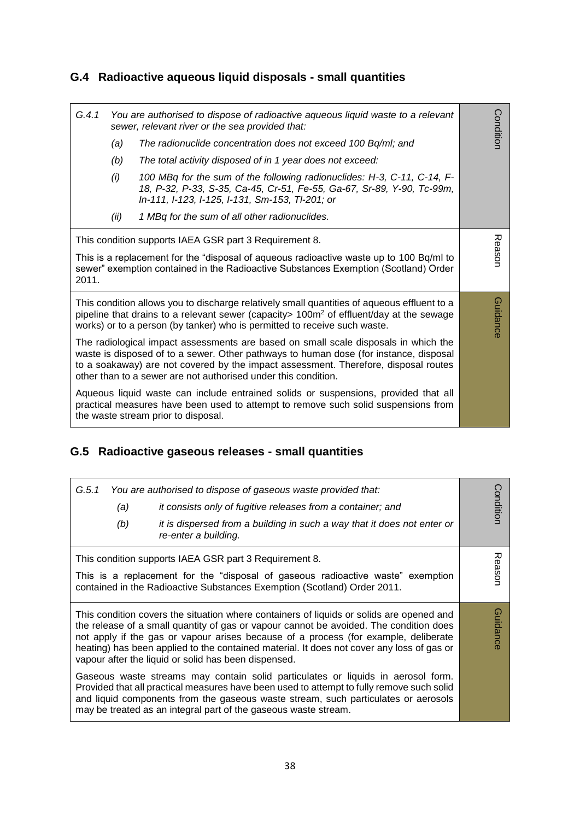## **G.4 Radioactive aqueous liquid disposals - small quantities**

| G.4.1                                                                                                                                                                                                                                                                                                                                 | You are authorised to dispose of radioactive aqueous liquid waste to a relevant<br>sewer, relevant river or the sea provided that: |                                                                                                                                                                                                                                                                         |           |
|---------------------------------------------------------------------------------------------------------------------------------------------------------------------------------------------------------------------------------------------------------------------------------------------------------------------------------------|------------------------------------------------------------------------------------------------------------------------------------|-------------------------------------------------------------------------------------------------------------------------------------------------------------------------------------------------------------------------------------------------------------------------|-----------|
|                                                                                                                                                                                                                                                                                                                                       | (a)                                                                                                                                | The radionuclide concentration does not exceed 100 Bq/ml; and                                                                                                                                                                                                           | Condition |
|                                                                                                                                                                                                                                                                                                                                       | (b)                                                                                                                                | The total activity disposed of in 1 year does not exceed:                                                                                                                                                                                                               |           |
|                                                                                                                                                                                                                                                                                                                                       | (i)                                                                                                                                | 100 MBq for the sum of the following radionuclides: H-3, C-11, C-14, F-<br>18, P-32, P-33, S-35, Ca-45, Cr-51, Fe-55, Ga-67, Sr-89, Y-90, Tc-99m,<br>In-111, I-123, I-125, I-131, Sm-153, TI-201; or                                                                    |           |
|                                                                                                                                                                                                                                                                                                                                       | (ii)                                                                                                                               | 1 MBq for the sum of all other radionuclides.                                                                                                                                                                                                                           |           |
| 2011.                                                                                                                                                                                                                                                                                                                                 |                                                                                                                                    | This condition supports IAEA GSR part 3 Requirement 8.<br>This is a replacement for the "disposal of aqueous radioactive waste up to 100 Bq/ml to<br>sewer" exemption contained in the Radioactive Substances Exemption (Scotland) Order                                | Reason    |
|                                                                                                                                                                                                                                                                                                                                       |                                                                                                                                    | This condition allows you to discharge relatively small quantities of aqueous effluent to a<br>pipeline that drains to a relevant sewer (capacity $> 100m^2$ of effluent/day at the sewage<br>works) or to a person (by tanker) who is permitted to receive such waste. | Guidance  |
| The radiological impact assessments are based on small scale disposals in which the<br>waste is disposed of to a sewer. Other pathways to human dose (for instance, disposal<br>to a soakaway) are not covered by the impact assessment. Therefore, disposal routes<br>other than to a sewer are not authorised under this condition. |                                                                                                                                    |                                                                                                                                                                                                                                                                         |           |
| Aqueous liquid waste can include entrained solids or suspensions, provided that all<br>practical measures have been used to attempt to remove such solid suspensions from<br>the waste stream prior to disposal.                                                                                                                      |                                                                                                                                    |                                                                                                                                                                                                                                                                         |           |

### **G.5 Radioactive gaseous releases - small quantities**

| G.5.1<br>(a)<br>(b)                                                                                                                                                                                                                                                                                                                                                                                                            | You are authorised to dispose of gaseous waste provided that:<br>it consists only of fugitive releases from a container; and<br>it is dispersed from a building in such a way that it does not enter or<br>re-enter a building.                                                                                                        | Condition |
|--------------------------------------------------------------------------------------------------------------------------------------------------------------------------------------------------------------------------------------------------------------------------------------------------------------------------------------------------------------------------------------------------------------------------------|----------------------------------------------------------------------------------------------------------------------------------------------------------------------------------------------------------------------------------------------------------------------------------------------------------------------------------------|-----------|
|                                                                                                                                                                                                                                                                                                                                                                                                                                | This condition supports IAEA GSR part 3 Requirement 8.<br>This is a replacement for the "disposal of gaseous radioactive waste" exemption<br>contained in the Radioactive Substances Exemption (Scotland) Order 2011.                                                                                                                  | Reason    |
| This condition covers the situation where containers of liquids or solids are opened and<br>the release of a small quantity of gas or vapour cannot be avoided. The condition does<br>not apply if the gas or vapour arises because of a process (for example, deliberate<br>heating) has been applied to the contained material. It does not cover any loss of gas or<br>vapour after the liquid or solid has been dispensed. |                                                                                                                                                                                                                                                                                                                                        | Guidance  |
|                                                                                                                                                                                                                                                                                                                                                                                                                                | Gaseous waste streams may contain solid particulates or liquids in aerosol form.<br>Provided that all practical measures have been used to attempt to fully remove such solid<br>and liquid components from the gaseous waste stream, such particulates or aerosols<br>may be treated as an integral part of the gaseous waste stream. |           |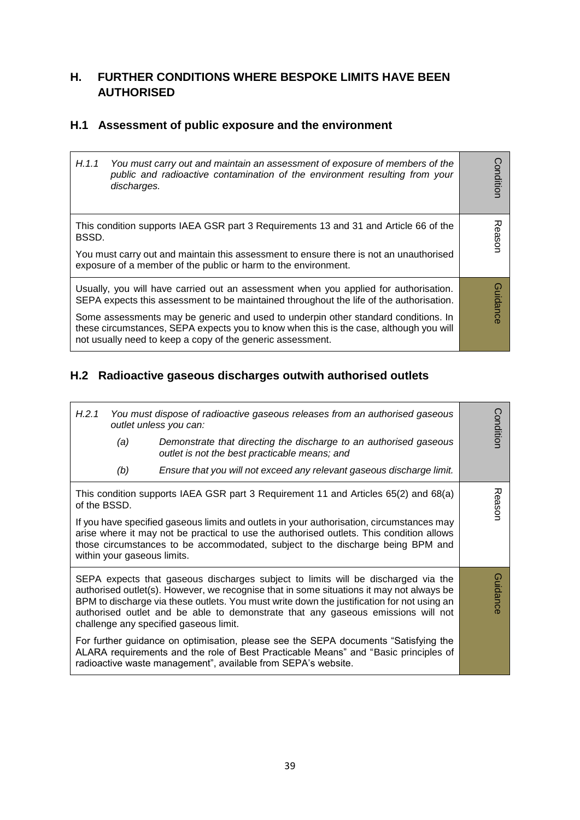### **H. FURTHER CONDITIONS WHERE BESPOKE LIMITS HAVE BEEN AUTHORISED**

### **H.1 Assessment of public exposure and the environment**

| H.1.1 | You must carry out and maintain an assessment of exposure of members of the<br>public and radioactive contamination of the environment resulting from your<br>discharges.                                                                  | Conditior |
|-------|--------------------------------------------------------------------------------------------------------------------------------------------------------------------------------------------------------------------------------------------|-----------|
| BSSD. | This condition supports IAEA GSR part 3 Requirements 13 and 31 and Article 66 of the                                                                                                                                                       | Reasor    |
|       | You must carry out and maintain this assessment to ensure there is not an unauthorised<br>exposure of a member of the public or harm to the environment.                                                                                   |           |
|       | Usually, you will have carried out an assessment when you applied for authorisation.<br>SEPA expects this assessment to be maintained throughout the life of the authorisation.                                                            | Guidance  |
|       | Some assessments may be generic and used to underpin other standard conditions. In<br>these circumstances, SEPA expects you to know when this is the case, although you will<br>not usually need to keep a copy of the generic assessment. |           |

## **H.2 Radioactive gaseous discharges outwith authorised outlets**

| H.2.1        |                             | You must dispose of radioactive gaseous releases from an authorised gaseous<br>outlet unless you can:                                                                                                                                                                                                                                                                                                     | Conditior |
|--------------|-----------------------------|-----------------------------------------------------------------------------------------------------------------------------------------------------------------------------------------------------------------------------------------------------------------------------------------------------------------------------------------------------------------------------------------------------------|-----------|
|              | (a)                         | Demonstrate that directing the discharge to an authorised gaseous<br>outlet is not the best practicable means; and                                                                                                                                                                                                                                                                                        |           |
|              | (b)                         | Ensure that you will not exceed any relevant gaseous discharge limit.                                                                                                                                                                                                                                                                                                                                     |           |
| of the BSSD. |                             | This condition supports IAEA GSR part 3 Requirement 11 and Articles 65(2) and 68(a)                                                                                                                                                                                                                                                                                                                       | Reason    |
|              | within your gaseous limits. | If you have specified gaseous limits and outlets in your authorisation, circumstances may<br>arise where it may not be practical to use the authorised outlets. This condition allows<br>those circumstances to be accommodated, subject to the discharge being BPM and                                                                                                                                   |           |
|              |                             | SEPA expects that gaseous discharges subject to limits will be discharged via the<br>authorised outlet(s). However, we recognise that in some situations it may not always be<br>BPM to discharge via these outlets. You must write down the justification for not using an<br>authorised outlet and be able to demonstrate that any gaseous emissions will not<br>challenge any specified gaseous limit. | Guidance  |
|              |                             | For further guidance on optimisation, please see the SEPA documents "Satisfying the<br>ALARA requirements and the role of Best Practicable Means" and "Basic principles of<br>radioactive waste management", available from SEPA's website.                                                                                                                                                               |           |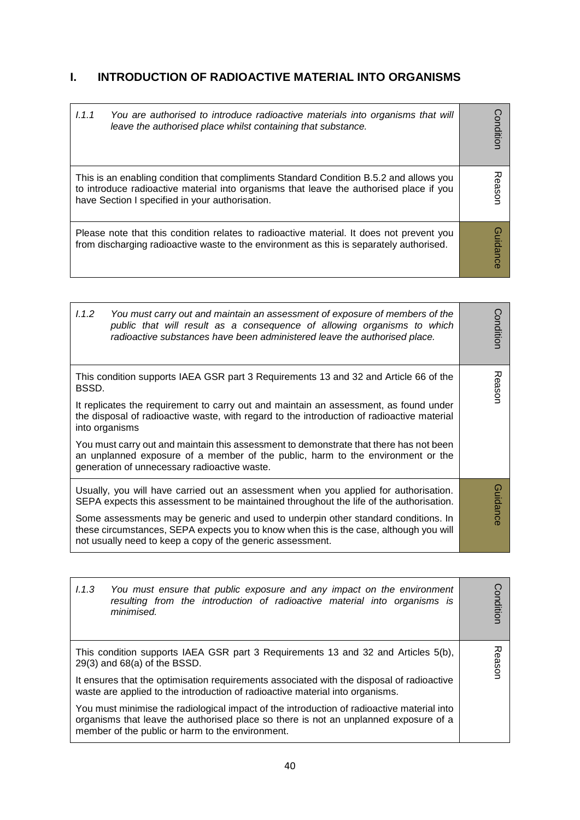### **I. INTRODUCTION OF RADIOACTIVE MATERIAL INTO ORGANISMS**

| 1.1.1 | You are authorised to introduce radioactive materials into organisms that will<br>leave the authorised place whilst containing that substance.                                                                                       | Conditior       |
|-------|--------------------------------------------------------------------------------------------------------------------------------------------------------------------------------------------------------------------------------------|-----------------|
|       | This is an enabling condition that compliments Standard Condition B.5.2 and allows you<br>to introduce radioactive material into organisms that leave the authorised place if you<br>have Section I specified in your authorisation. | easor           |
|       | Please note that this condition relates to radioactive material. It does not prevent you<br>from discharging radioactive waste to the environment as this is separately authorised.                                                  | <b>Guidance</b> |

| 1.1.2<br>You must carry out and maintain an assessment of exposure of members of the<br>public that will result as a consequence of allowing organisms to which<br>radioactive substances have been administered leave the authorised place. | Condition |
|----------------------------------------------------------------------------------------------------------------------------------------------------------------------------------------------------------------------------------------------|-----------|
| This condition supports IAEA GSR part 3 Requirements 13 and 32 and Article 66 of the<br>BSSD.                                                                                                                                                | Reason    |
| It replicates the requirement to carry out and maintain an assessment, as found under<br>the disposal of radioactive waste, with regard to the introduction of radioactive material<br>into organisms                                        |           |
| You must carry out and maintain this assessment to demonstrate that there has not been<br>an unplanned exposure of a member of the public, harm to the environment or the<br>generation of unnecessary radioactive waste.                    |           |
| Usually, you will have carried out an assessment when you applied for authorisation.<br>SEPA expects this assessment to be maintained throughout the life of the authorisation.                                                              | Guidance  |
| Some assessments may be generic and used to underpin other standard conditions. In<br>these circumstances, SEPA expects you to know when this is the case, although you will<br>not usually need to keep a copy of the generic assessment.   |           |

| 1.1.3<br>You must ensure that public exposure and any impact on the environment<br>resulting from the introduction of radioactive material into organisms is<br>minimised.                                                             | Condition |
|----------------------------------------------------------------------------------------------------------------------------------------------------------------------------------------------------------------------------------------|-----------|
| This condition supports IAEA GSR part 3 Requirements 13 and 32 and Articles 5(b),<br>$29(3)$ and $68(a)$ of the BSSD.                                                                                                                  | Reason    |
| It ensures that the optimisation requirements associated with the disposal of radioactive<br>waste are applied to the introduction of radioactive material into organisms.                                                             |           |
| You must minimise the radiological impact of the introduction of radioactive material into<br>organisms that leave the authorised place so there is not an unplanned exposure of a<br>member of the public or harm to the environment. |           |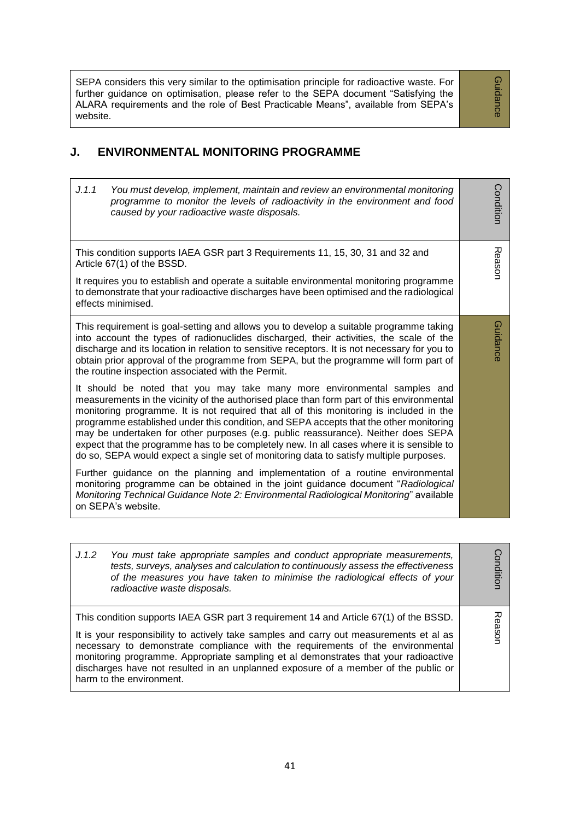SEPA considers this very similar to the optimisation principle for radioactive waste. For further guidance on optimisation, please refer to the SEPA document "Satisfying the ALARA requirements and the role of Best Practicable Means", available from SEPA's website.

Guidance Guidance

#### **J. ENVIRONMENTAL MONITORING PROGRAMME**

| J.1.1<br>You must develop, implement, maintain and review an environmental monitoring<br>programme to monitor the levels of radioactivity in the environment and food<br>caused by your radioactive waste disposals.                                                                                                                                                                                                                                                                                                                                                                                                                  | Condition |
|---------------------------------------------------------------------------------------------------------------------------------------------------------------------------------------------------------------------------------------------------------------------------------------------------------------------------------------------------------------------------------------------------------------------------------------------------------------------------------------------------------------------------------------------------------------------------------------------------------------------------------------|-----------|
| This condition supports IAEA GSR part 3 Requirements 11, 15, 30, 31 and 32 and<br>Article 67(1) of the BSSD.                                                                                                                                                                                                                                                                                                                                                                                                                                                                                                                          | Reason    |
| It requires you to establish and operate a suitable environmental monitoring programme<br>to demonstrate that your radioactive discharges have been optimised and the radiological<br>effects minimised.                                                                                                                                                                                                                                                                                                                                                                                                                              |           |
| This requirement is goal-setting and allows you to develop a suitable programme taking<br>into account the types of radionuclides discharged, their activities, the scale of the<br>discharge and its location in relation to sensitive receptors. It is not necessary for you to<br>obtain prior approval of the programme from SEPA, but the programme will form part of<br>the routine inspection associated with the Permit.                                                                                                                                                                                                      | Guidance  |
| It should be noted that you may take many more environmental samples and<br>measurements in the vicinity of the authorised place than form part of this environmental<br>monitoring programme. It is not required that all of this monitoring is included in the<br>programme established under this condition, and SEPA accepts that the other monitoring<br>may be undertaken for other purposes (e.g. public reassurance). Neither does SEPA<br>expect that the programme has to be completely new. In all cases where it is sensible to<br>do so, SEPA would expect a single set of monitoring data to satisfy multiple purposes. |           |
| Further guidance on the planning and implementation of a routine environmental<br>monitoring programme can be obtained in the joint guidance document "Radiological<br>Monitoring Technical Guidance Note 2: Environmental Radiological Monitoring" available<br>on SEPA's website.                                                                                                                                                                                                                                                                                                                                                   |           |

| You must take appropriate samples and conduct appropriate measurements,<br>J.1.2<br>tests, surveys, analyses and calculation to continuously assess the effectiveness<br>of the measures you have taken to minimise the radiological effects of your<br>radioactive waste disposals.                                                                                                                                                                                       | onditior   |
|----------------------------------------------------------------------------------------------------------------------------------------------------------------------------------------------------------------------------------------------------------------------------------------------------------------------------------------------------------------------------------------------------------------------------------------------------------------------------|------------|
| This condition supports IAEA GSR part 3 requirement 14 and Article 67(1) of the BSSD.<br>It is your responsibility to actively take samples and carry out measurements et al as<br>necessary to demonstrate compliance with the requirements of the environmental<br>monitoring programme. Appropriate sampling et al demonstrates that your radioactive<br>discharges have not resulted in an unplanned exposure of a member of the public or<br>harm to the environment. | 고<br>easor |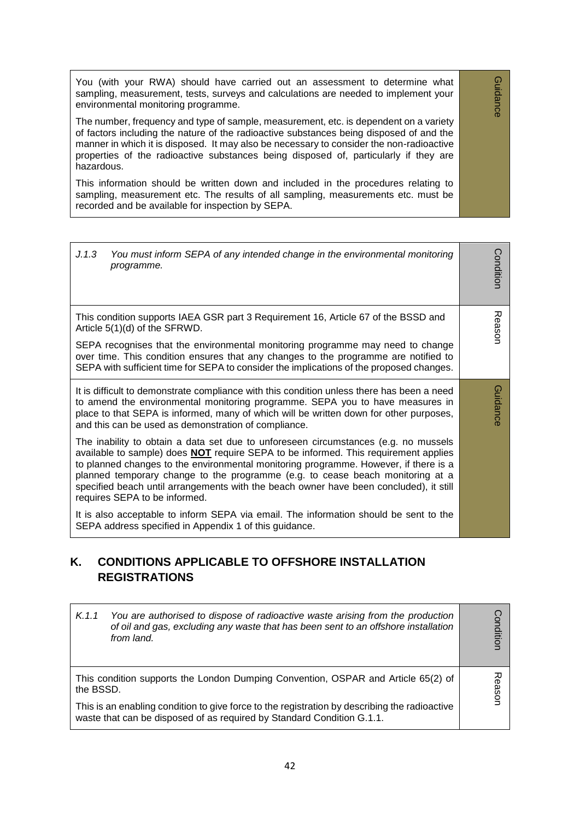You (with your RWA) should have carried out an assessment to determine what sampling, measurement, tests, surveys and calculations are needed to implement your environmental monitoring programme.

Guidance

Guidance

The number, frequency and type of sample, measurement, etc. is dependent on a variety of factors including the nature of the radioactive substances being disposed of and the manner in which it is disposed. It may also be necessary to consider the non-radioactive properties of the radioactive substances being disposed of, particularly if they are hazardous.

This information should be written down and included in the procedures relating to sampling, measurement etc. The results of all sampling, measurements etc. must be recorded and be available for inspection by SEPA.

| J.1.3<br>You must inform SEPA of any intended change in the environmental monitoring<br>programme.                                                                                                                                                                                                                                                                                                                                                                                     | Condition |
|----------------------------------------------------------------------------------------------------------------------------------------------------------------------------------------------------------------------------------------------------------------------------------------------------------------------------------------------------------------------------------------------------------------------------------------------------------------------------------------|-----------|
| This condition supports IAEA GSR part 3 Requirement 16, Article 67 of the BSSD and<br>Article 5(1)(d) of the SFRWD.                                                                                                                                                                                                                                                                                                                                                                    | Reason    |
| SEPA recognises that the environmental monitoring programme may need to change<br>over time. This condition ensures that any changes to the programme are notified to<br>SEPA with sufficient time for SEPA to consider the implications of the proposed changes.                                                                                                                                                                                                                      |           |
| It is difficult to demonstrate compliance with this condition unless there has been a need<br>to amend the environmental monitoring programme. SEPA you to have measures in<br>place to that SEPA is informed, many of which will be written down for other purposes,<br>and this can be used as demonstration of compliance.                                                                                                                                                          | Guidance  |
| The inability to obtain a data set due to unforeseen circumstances (e.g. no mussels<br>available to sample) does <b>NOT</b> require SEPA to be informed. This requirement applies<br>to planned changes to the environmental monitoring programme. However, if there is a<br>planned temporary change to the programme (e.g. to cease beach monitoring at a<br>specified beach until arrangements with the beach owner have been concluded), it still<br>requires SEPA to be informed. |           |
| It is also acceptable to inform SEPA via email. The information should be sent to the<br>SEPA address specified in Appendix 1 of this guidance.                                                                                                                                                                                                                                                                                                                                        |           |

### **K. CONDITIONS APPLICABLE TO OFFSHORE INSTALLATION REGISTRATIONS**

| You are authorised to dispose of radioactive waste arising from the production<br>K.1.1<br>of oil and gas, excluding any waste that has been sent to an offshore installation<br>from land. | Conditior         |
|---------------------------------------------------------------------------------------------------------------------------------------------------------------------------------------------|-------------------|
| This condition supports the London Dumping Convention, OSPAR and Article 65(2) of<br>the BSSD.                                                                                              | ᅍ<br><b>eason</b> |
| This is an enabling condition to give force to the registration by describing the radioactive<br>waste that can be disposed of as required by Standard Condition G.1.1.                     |                   |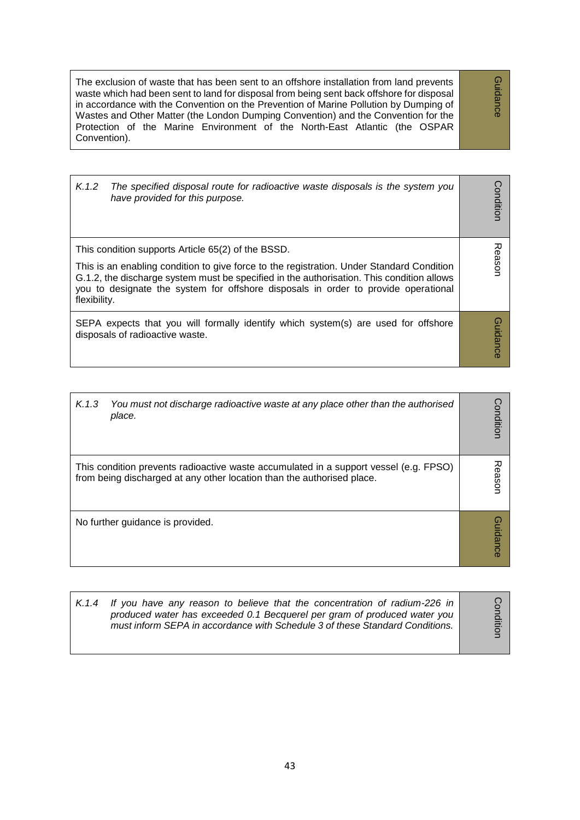The exclusion of waste that has been sent to an offshore installation from land prevents waste which had been sent to land for disposal from being sent back offshore for disposal in accordance with the Convention on the Prevention of Marine Pollution by Dumping of Wastes and Other Matter (the London Dumping Convention) and the Convention for the Protection of the Marine Environment of the North-East Atlantic (the OSPAR Convention).

| K.1.2        | The specified disposal route for radioactive waste disposals is the system you<br>have provided for this purpose.                                                                                                                                                                                                                  | Conditior       |
|--------------|------------------------------------------------------------------------------------------------------------------------------------------------------------------------------------------------------------------------------------------------------------------------------------------------------------------------------------|-----------------|
| flexibility. | This condition supports Article 65(2) of the BSSD.<br>This is an enabling condition to give force to the registration. Under Standard Condition<br>G.1.2, the discharge system must be specified in the authorisation. This condition allows<br>you to designate the system for offshore disposals in order to provide operational | Reason          |
|              | SEPA expects that you will formally identify which system(s) are used for offshore<br>disposals of radioactive waste.                                                                                                                                                                                                              | <b>Guidance</b> |

| K.1.3 | You must not discharge radioactive waste at any place other than the authorised<br>place.                                                                       | Conditior |
|-------|-----------------------------------------------------------------------------------------------------------------------------------------------------------------|-----------|
|       | This condition prevents radioactive waste accumulated in a support vessel (e.g. FPSO)<br>from being discharged at any other location than the authorised place. | easor     |
|       | No further guidance is provided.                                                                                                                                | uidance   |

| K.1.4 If you have any reason to believe that the concentration of radium-226 in<br>produced water has exceeded 0.1 Becquerel per gram of produced water you<br>must inform SEPA in accordance with Schedule 3 of these Standard Conditions. | ≕ |
|---------------------------------------------------------------------------------------------------------------------------------------------------------------------------------------------------------------------------------------------|---|
|---------------------------------------------------------------------------------------------------------------------------------------------------------------------------------------------------------------------------------------------|---|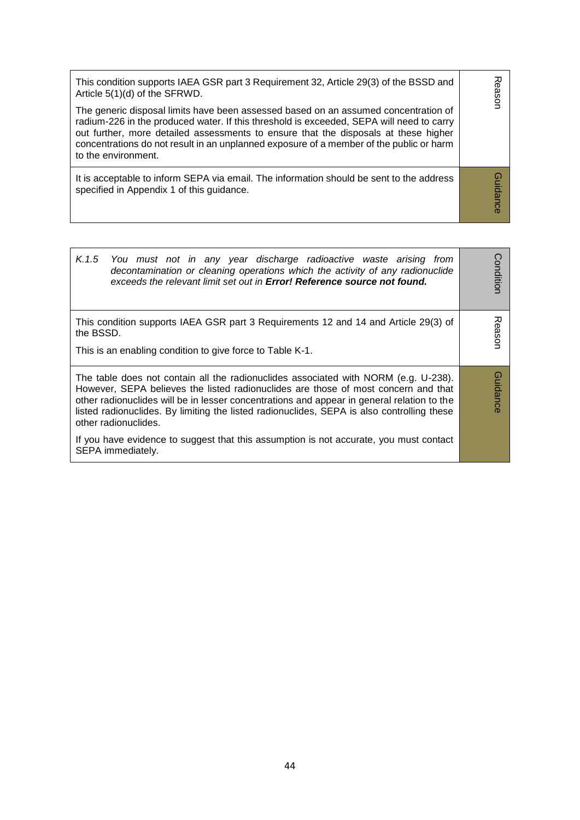| This condition supports IAEA GSR part 3 Requirement 32, Article 29(3) of the BSSD and<br>Article 5(1)(d) of the SFRWD.<br>The generic disposal limits have been assessed based on an assumed concentration of<br>radium-226 in the produced water. If this threshold is exceeded, SEPA will need to carry<br>out further, more detailed assessments to ensure that the disposals at these higher<br>concentrations do not result in an unplanned exposure of a member of the public or harm<br>to the environment. | 观<br>easor      |
|--------------------------------------------------------------------------------------------------------------------------------------------------------------------------------------------------------------------------------------------------------------------------------------------------------------------------------------------------------------------------------------------------------------------------------------------------------------------------------------------------------------------|-----------------|
| It is acceptable to inform SEPA via email. The information should be sent to the address<br>specified in Appendix 1 of this guidance.                                                                                                                                                                                                                                                                                                                                                                              | <b>Guidance</b> |

| K.1.5<br>You must not in any year discharge radioactive waste arising from<br>decontamination or cleaning operations which the activity of any radionuclide<br>exceeds the relevant limit set out in Error! Reference source not found.                                                                                                                                                                                                                                                                      | onditior        |
|--------------------------------------------------------------------------------------------------------------------------------------------------------------------------------------------------------------------------------------------------------------------------------------------------------------------------------------------------------------------------------------------------------------------------------------------------------------------------------------------------------------|-----------------|
| This condition supports IAEA GSR part 3 Requirements 12 and 14 and Article 29(3) of<br>the BSSD.<br>This is an enabling condition to give force to Table K-1.                                                                                                                                                                                                                                                                                                                                                | 观<br>eason      |
| The table does not contain all the radionuclides associated with NORM (e.g. U-238).<br>However, SEPA believes the listed radionuclides are those of most concern and that<br>other radionuclides will be in lesser concentrations and appear in general relation to the<br>listed radionuclides. By limiting the listed radionuclides, SEPA is also controlling these<br>other radionuclides.<br>If you have evidence to suggest that this assumption is not accurate, you must contact<br>SEPA immediately. | <b>Guidance</b> |